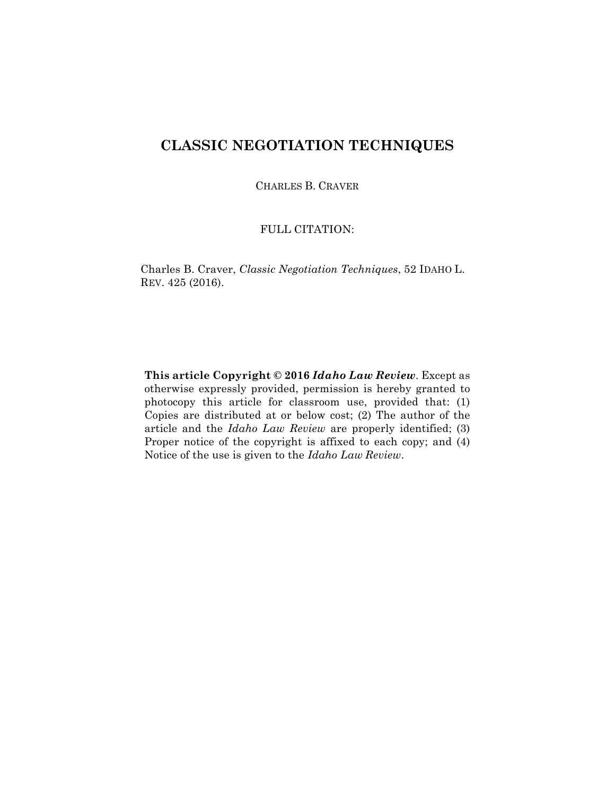## **CLASSIC NEGOTIATION TECHNIQUES**

CHARLES B. CRAVER

## FULL CITATION:

Charles B. Craver, *Classic Negotiation Techniques*, 52 IDAHO L. REV. 425 (2016).

**This article Copyright © 2016** *Idaho Law Review*. Except as otherwise expressly provided, permission is hereby granted to photocopy this article for classroom use, provided that: (1) Copies are distributed at or below cost; (2) The author of the article and the *Idaho Law Review* are properly identified; (3) Proper notice of the copyright is affixed to each copy; and (4) Notice of the use is given to the *Idaho Law Review*.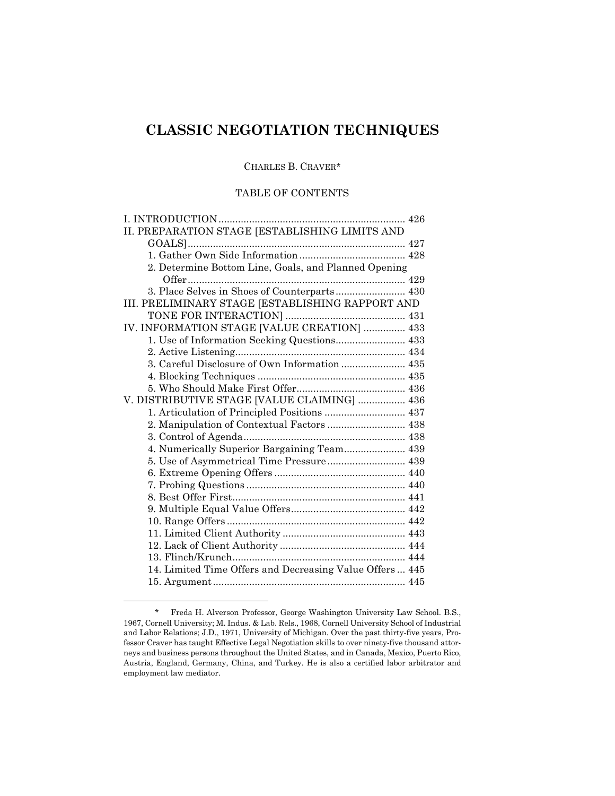# **CLASSIC NEGOTIATION TECHNIQUES**

## CHARLES B. CRAVER\*

## TABLE OF CONTENTS

| II. PREPARATION STAGE [ESTABLISHING LIMITS AND           |  |
|----------------------------------------------------------|--|
|                                                          |  |
|                                                          |  |
| 2. Determine Bottom Line, Goals, and Planned Opening     |  |
|                                                          |  |
| 3. Place Selves in Shoes of Counterparts 430             |  |
| III. PRELIMINARY STAGE [ESTABLISHING RAPPORT AND         |  |
|                                                          |  |
| IV. INFORMATION STAGE [VALUE CREATION]  433              |  |
|                                                          |  |
|                                                          |  |
|                                                          |  |
|                                                          |  |
|                                                          |  |
| V. DISTRIBUTIVE STAGE [VALUE CLAIMING]  436              |  |
|                                                          |  |
|                                                          |  |
|                                                          |  |
| 4. Numerically Superior Bargaining Team 439              |  |
| 5. Use of Asymmetrical Time Pressure 439                 |  |
|                                                          |  |
|                                                          |  |
|                                                          |  |
|                                                          |  |
|                                                          |  |
|                                                          |  |
|                                                          |  |
|                                                          |  |
| 14. Limited Time Offers and Decreasing Value Offers  445 |  |
|                                                          |  |
|                                                          |  |

<sup>\*</sup> Freda H. Alverson Professor, George Washington University Law School. B.S., 1967, Cornell University; M. Indus. & Lab. Rels., 1968, Cornell University School of Industrial and Labor Relations; J.D., 1971, University of Michigan. Over the past thirty-five years, Professor Craver has taught Effective Legal Negotiation skills to over ninety-five thousand attorneys and business persons throughout the United States, and in Canada, Mexico, Puerto Rico, Austria, England, Germany, China, and Turkey. He is also a certified labor arbitrator and employment law mediator.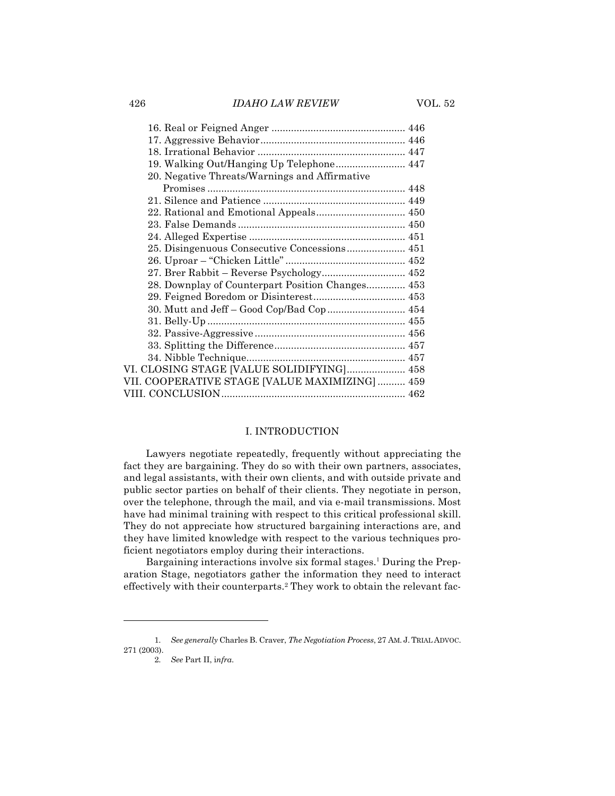| 19. Walking Out/Hanging Up Telephone 447         |  |
|--------------------------------------------------|--|
| 20. Negative Threats/Warnings and Affirmative    |  |
|                                                  |  |
|                                                  |  |
|                                                  |  |
|                                                  |  |
|                                                  |  |
|                                                  |  |
|                                                  |  |
| 27. Brer Rabbit - Reverse Psychology 452         |  |
| 28. Downplay of Counterpart Position Changes 453 |  |
|                                                  |  |
| 30. Mutt and Jeff - Good Cop/Bad Cop 454         |  |
|                                                  |  |
|                                                  |  |
|                                                  |  |
|                                                  |  |
| VI. CLOSING STAGE [VALUE SOLIDIFYING] 458        |  |
| VII. COOPERATIVE STAGE [VALUE MAXIMIZING]  459   |  |
|                                                  |  |
|                                                  |  |

## I. INTRODUCTION

Lawyers negotiate repeatedly, frequently without appreciating the fact they are bargaining. They do so with their own partners, associates, and legal assistants, with their own clients, and with outside private and public sector parties on behalf of their clients. They negotiate in person, over the telephone, through the mail, and via e-mail transmissions. Most have had minimal training with respect to this critical professional skill. They do not appreciate how structured bargaining interactions are, and they have limited knowledge with respect to the various techniques proficient negotiators employ during their interactions.

Bargaining interactions involve six formal stages.<sup>1</sup> During the Preparation Stage, negotiators gather the information they need to interact effectively with their counterparts.2 They work to obtain the relevant fac-

2. *See* Part II, i*nfra*.

<sup>1.</sup> *See generally* Charles B. Craver, *The Negotiation Process*, 27 AM. J. TRIAL ADVOC. 271 (2003).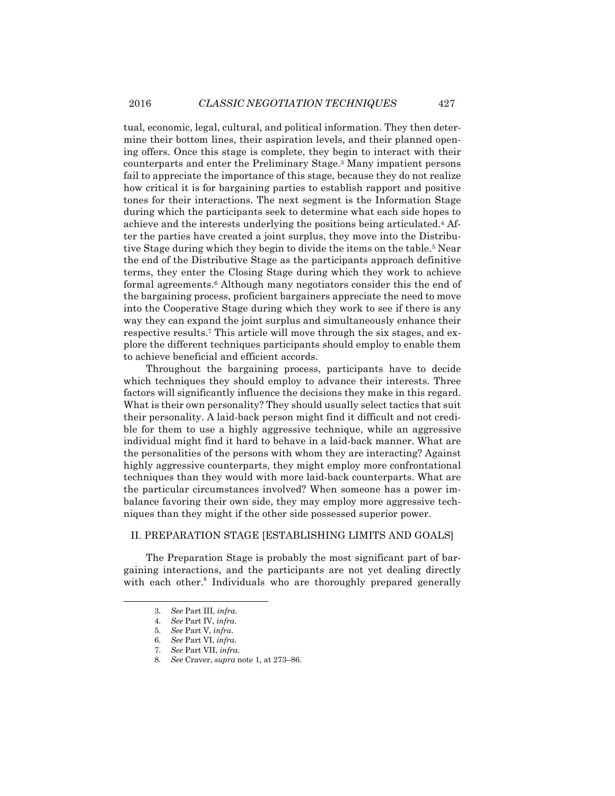tual, economic, legal, cultural, and political information. They then determine their bottom lines, their aspiration levels, and their planned opening offers. Once this stage is complete, they begin to interact with their counterparts and enter the Preliminary Stage.3 Many impatient persons fail to appreciate the importance of this stage, because they do not realize how critical it is for bargaining parties to establish rapport and positive tones for their interactions. The next segment is the Information Stage during which the participants seek to determine what each side hopes to achieve and the interests underlying the positions being articulated.4 After the parties have created a joint surplus, they move into the Distributive Stage during which they begin to divide the items on the table.<sup>5</sup> Near the end of the Distributive Stage as the participants approach definitive terms, they enter the Closing Stage during which they work to achieve formal agreements.6 Although many negotiators consider this the end of the bargaining process, proficient bargainers appreciate the need to move into the Cooperative Stage during which they work to see if there is any way they can expand the joint surplus and simultaneously enhance their respective results.7 This article will move through the six stages, and explore the different techniques participants should employ to enable them to achieve beneficial and efficient accords.

Throughout the bargaining process, participants have to decide which techniques they should employ to advance their interests. Three factors will significantly influence the decisions they make in this regard. What is their own personality? They should usually select tactics that suit their personality. A laid-back person might find it difficult and not credible for them to use a highly aggressive technique, while an aggressive individual might find it hard to behave in a laid-back manner. What are the personalities of the persons with whom they are interacting? Against highly aggressive counterparts, they might employ more confrontational techniques than they would with more laid-back counterparts. What are the particular circumstances involved? When someone has a power imbalance favoring their own side, they may employ more aggressive techniques than they might if the other side possessed superior power.

## II. PREPARATION STAGE [ESTABLISHING LIMITS AND GOALS]

The Preparation Stage is probably the most significant part of bargaining interactions, and the participants are not yet dealing directly with each other.<sup>8</sup> Individuals who are thoroughly prepared generally

<sup>3.</sup> *See* Part III, *infra*.

<sup>4.</sup> *See* Part IV, *infra*.

<sup>5.</sup> *See* Part V, *infra*.

<sup>6.</sup> *See* Part VI, *infra*.

<sup>7.</sup> *See* Part VII, *infra*.

<sup>8.</sup> *See* Craver, *supra* note 1, at 273–86.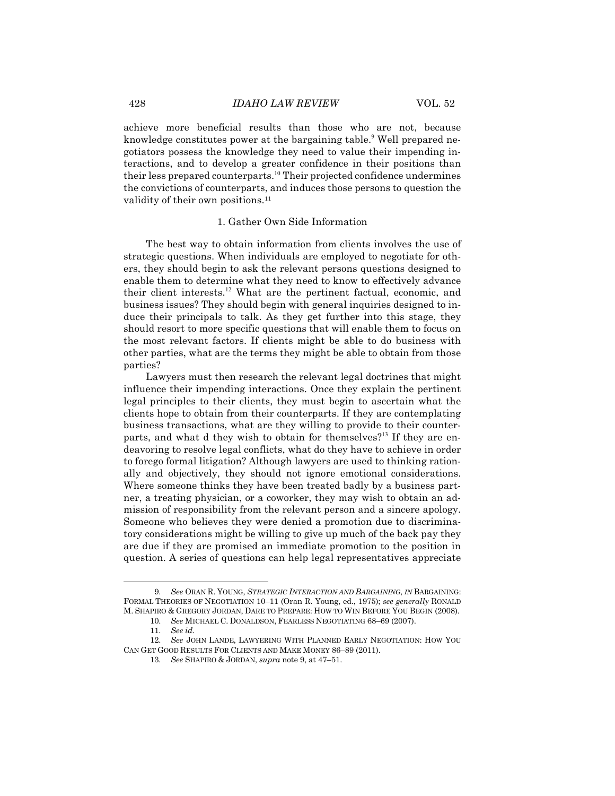achieve more beneficial results than those who are not, because knowledge constitutes power at the bargaining table.<sup>9</sup> Well prepared negotiators possess the knowledge they need to value their impending interactions, and to develop a greater confidence in their positions than their less prepared counterparts.<sup>10</sup> Their projected confidence undermines the convictions of counterparts, and induces those persons to question the validity of their own positions.<sup>11</sup>

#### 1. Gather Own Side Information

The best way to obtain information from clients involves the use of strategic questions. When individuals are employed to negotiate for others, they should begin to ask the relevant persons questions designed to enable them to determine what they need to know to effectively advance their client interests.<sup>12</sup> What are the pertinent factual, economic, and business issues? They should begin with general inquiries designed to induce their principals to talk. As they get further into this stage, they should resort to more specific questions that will enable them to focus on the most relevant factors. If clients might be able to do business with other parties, what are the terms they might be able to obtain from those parties?

Lawyers must then research the relevant legal doctrines that might influence their impending interactions. Once they explain the pertinent legal principles to their clients, they must begin to ascertain what the clients hope to obtain from their counterparts. If they are contemplating business transactions, what are they willing to provide to their counterparts, and what d they wish to obtain for themselves?<sup>13</sup> If they are endeavoring to resolve legal conflicts, what do they have to achieve in order to forego formal litigation? Although lawyers are used to thinking rationally and objectively, they should not ignore emotional considerations. Where someone thinks they have been treated badly by a business partner, a treating physician, or a coworker, they may wish to obtain an admission of responsibility from the relevant person and a sincere apology. Someone who believes they were denied a promotion due to discriminatory considerations might be willing to give up much of the back pay they are due if they are promised an immediate promotion to the position in question. A series of questions can help legal representatives appreciate

<sup>9.</sup> *See* ORAN R. YOUNG, *STRATEGIC INTERACTION AND BARGAINING*, *IN* BARGAINING: FORMAL THEORIES OF NEGOTIATION 10–11 (Oran R. Young, ed., 1975); *see generally* RONALD M. SHAPIRO & GREGORY JORDAN, DARE TO PREPARE: HOW TO WIN BEFORE YOU BEGIN (2008).

<sup>10.</sup> *See* MICHAEL C. DONALDSON, FEARLESS NEGOTIATING 68–69 (2007).

<sup>11.</sup> *See id.*

<sup>12.</sup> *See* JOHN LANDE, LAWYERING WITH PLANNED EARLY NEGOTIATION: HOW YOU CAN GET GOOD RESULTS FOR CLIENTS AND MAKE MONEY 86–89 (2011).

<sup>13.</sup> *See* SHAPIRO & JORDAN, *supra* note 9, at 47–51.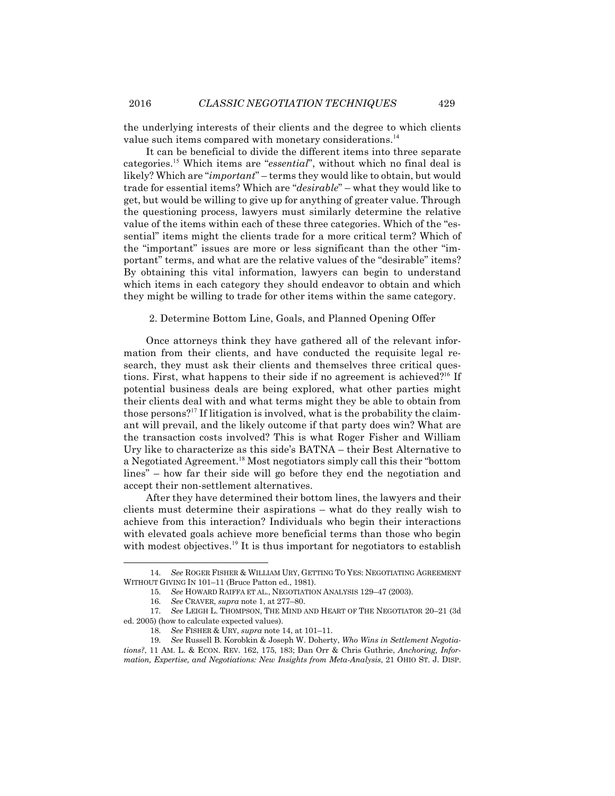the underlying interests of their clients and the degree to which clients value such items compared with monetary considerations.<sup>14</sup>

It can be beneficial to divide the different items into three separate categories.<sup>15</sup> Which items are "*essential*", without which no final deal is likely? Which are "*important*" – terms they would like to obtain, but would trade for essential items? Which are "*desirable*" – what they would like to get, but would be willing to give up for anything of greater value. Through the questioning process, lawyers must similarly determine the relative value of the items within each of these three categories. Which of the "essential" items might the clients trade for a more critical term? Which of the "important" issues are more or less significant than the other "important" terms, and what are the relative values of the "desirable" items? By obtaining this vital information, lawyers can begin to understand which items in each category they should endeavor to obtain and which they might be willing to trade for other items within the same category.

#### 2. Determine Bottom Line, Goals, and Planned Opening Offer

Once attorneys think they have gathered all of the relevant information from their clients, and have conducted the requisite legal research, they must ask their clients and themselves three critical questions. First, what happens to their side if no agreement is achieved?<sup>16</sup> If potential business deals are being explored, what other parties might their clients deal with and what terms might they be able to obtain from those persons?<sup>17</sup> If litigation is involved, what is the probability the claimant will prevail, and the likely outcome if that party does win? What are the transaction costs involved? This is what Roger Fisher and William Ury like to characterize as this side's BATNA – their Best Alternative to a Negotiated Agreement.<sup>18</sup> Most negotiators simply call this their "bottom lines" – how far their side will go before they end the negotiation and accept their non-settlement alternatives.

After they have determined their bottom lines, the lawyers and their clients must determine their aspirations – what do they really wish to achieve from this interaction? Individuals who begin their interactions with elevated goals achieve more beneficial terms than those who begin with modest objectives.<sup>19</sup> It is thus important for negotiators to establish

<sup>14.</sup> *See* ROGER FISHER & WILLIAM URY, GETTING TO YES: NEGOTIATING AGREEMENT WITHOUT GIVING IN 101–11 (Bruce Patton ed., 1981).

<sup>15.</sup> *See* HOWARD RAIFFA ET AL., NEGOTIATION ANALYSIS 129–47 (2003).

<sup>16.</sup> *See* CRAVER, *supra* note 1, at 277–80.

<sup>17.</sup> *See* LEIGH L. THOMPSON, THE MIND AND HEART OF THE NEGOTIATOR 20–21 (3d ed. 2005) (how to calculate expected values).

<sup>18.</sup> *See* FISHER & URY, *supra* note 14, at 101–11.

<sup>19.</sup> *See* Russell B. Korobkin & Joseph W. Doherty, *Who Wins in Settlement Negotiations?*, 11 AM. L. & ECON. REV. 162, 175, 183; Dan Orr & Chris Guthrie, *Anchoring, Information, Expertise, and Negotiations: New Insights from Meta-Analysis*, 21 OHIO ST. J. DISP.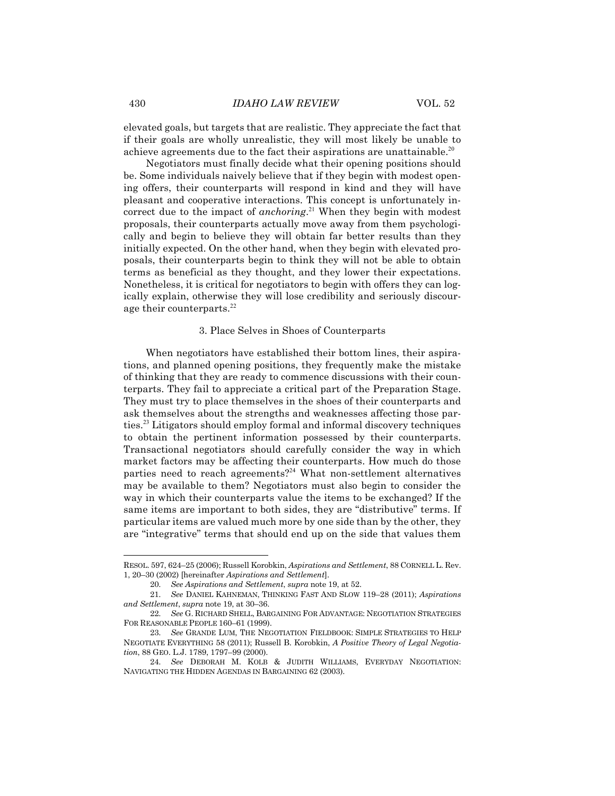elevated goals, but targets that are realistic. They appreciate the fact that if their goals are wholly unrealistic, they will most likely be unable to achieve agreements due to the fact their aspirations are unattainable.<sup>20</sup>

Negotiators must finally decide what their opening positions should be. Some individuals naively believe that if they begin with modest opening offers, their counterparts will respond in kind and they will have pleasant and cooperative interactions. This concept is unfortunately incorrect due to the impact of *anchoring*. <sup>21</sup> When they begin with modest proposals, their counterparts actually move away from them psychologically and begin to believe they will obtain far better results than they initially expected. On the other hand, when they begin with elevated proposals, their counterparts begin to think they will not be able to obtain terms as beneficial as they thought, and they lower their expectations. Nonetheless, it is critical for negotiators to begin with offers they can logically explain, otherwise they will lose credibility and seriously discourage their counterparts.<sup>22</sup>

#### 3. Place Selves in Shoes of Counterparts

When negotiators have established their bottom lines, their aspirations, and planned opening positions, they frequently make the mistake of thinking that they are ready to commence discussions with their counterparts. They fail to appreciate a critical part of the Preparation Stage. They must try to place themselves in the shoes of their counterparts and ask themselves about the strengths and weaknesses affecting those parties.<sup>23</sup> Litigators should employ formal and informal discovery techniques to obtain the pertinent information possessed by their counterparts. Transactional negotiators should carefully consider the way in which market factors may be affecting their counterparts. How much do those parties need to reach agreements?<sup>24</sup> What non-settlement alternatives may be available to them? Negotiators must also begin to consider the way in which their counterparts value the items to be exchanged? If the same items are important to both sides, they are "distributive" terms. If particular items are valued much more by one side than by the other, they are "integrative" terms that should end up on the side that values them

RESOL. 597, 624–25 (2006); Russell Korobkin, *Aspirations and Settlement*, 88 CORNELL L. Rev. 1, 20–30 (2002) [hereinafter *Aspirations and Settlement*].

<sup>20.</sup> *See Aspirations and Settlement*, *supra* note 19, at 52.

<sup>21.</sup> *See* DANIEL KAHNEMAN, THINKING FAST AND SLOW 119–28 (2011); *Aspirations and Settlement*, *supra* note 19, at 30–36.

<sup>22.</sup> *See* G. RICHARD SHELL, BARGAINING FOR ADVANTAGE: NEGOTIATION STRATEGIES FOR REASONABLE PEOPLE 160–61 (1999).

<sup>23.</sup> *See* GRANDE LUM, THE NEGOTIATION FIELDBOOK: SIMPLE STRATEGIES TO HELP NEGOTIATE EVERYTHING 58 (2011); Russell B. Korobkin, *A Positive Theory of Legal Negotiation*, 88 GEO. L.J. 1789, 1797–99 (2000).

<sup>24.</sup> *See* DEBORAH M. KOLB & JUDITH WILLIAMS, EVERYDAY NEGOTIATION: NAVIGATING THE HIDDEN AGENDAS IN BARGAINING 62 (2003).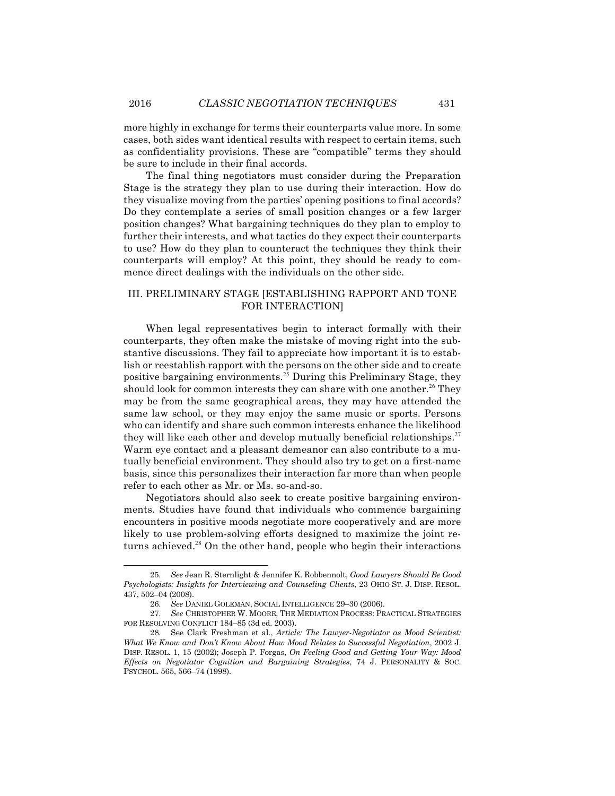more highly in exchange for terms their counterparts value more. In some cases, both sides want identical results with respect to certain items, such as confidentiality provisions. These are "compatible" terms they should be sure to include in their final accords.

The final thing negotiators must consider during the Preparation Stage is the strategy they plan to use during their interaction. How do they visualize moving from the parties' opening positions to final accords? Do they contemplate a series of small position changes or a few larger position changes? What bargaining techniques do they plan to employ to further their interests, and what tactics do they expect their counterparts to use? How do they plan to counteract the techniques they think their counterparts will employ? At this point, they should be ready to commence direct dealings with the individuals on the other side.

## III. PRELIMINARY STAGE [ESTABLISHING RAPPORT AND TONE FOR INTERACTION]

When legal representatives begin to interact formally with their counterparts, they often make the mistake of moving right into the substantive discussions. They fail to appreciate how important it is to establish or reestablish rapport with the persons on the other side and to create positive bargaining environments.<sup>25</sup> During this Preliminary Stage, they should look for common interests they can share with one another.<sup>26</sup> They may be from the same geographical areas, they may have attended the same law school, or they may enjoy the same music or sports. Persons who can identify and share such common interests enhance the likelihood they will like each other and develop mutually beneficial relationships.<sup>27</sup> Warm eye contact and a pleasant demeanor can also contribute to a mutually beneficial environment. They should also try to get on a first-name basis, since this personalizes their interaction far more than when people refer to each other as Mr. or Ms. so-and-so.

Negotiators should also seek to create positive bargaining environments. Studies have found that individuals who commence bargaining encounters in positive moods negotiate more cooperatively and are more likely to use problem-solving efforts designed to maximize the joint returns achieved.<sup>28</sup> On the other hand, people who begin their interactions

<sup>25.</sup> *See* Jean R. Sternlight & Jennifer K. Robbennolt, *Good Lawyers Should Be Good Psychologists: Insights for Interviewing and Counseling Clients*, 23 OHIO ST. J. DISP. RESOL. 437, 502–04 (2008).

<sup>26.</sup> *See* DANIEL GOLEMAN, SOCIAL INTELLIGENCE 29–30 (2006).

<sup>27.</sup> *See* CHRISTOPHER W. MOORE, THE MEDIATION PROCESS: PRACTICAL STRATEGIES FOR RESOLVING CONFLICT 184–85 (3d ed. 2003).

<sup>28.</sup> See Clark Freshman et al., *Article: The Lawyer-Negotiator as Mood Scientist: What We Know and Don't Know About How Mood Relates to Successful Negotiation*, 2002 J. DISP. RESOL. 1, 15 (2002); Joseph P. Forgas, *On Feeling Good and Getting Your Way: Mood Effects on Negotiator Cognition and Bargaining Strategies*, 74 J. PERSONALITY & SOC. PSYCHOL. 565, 566–74 (1998).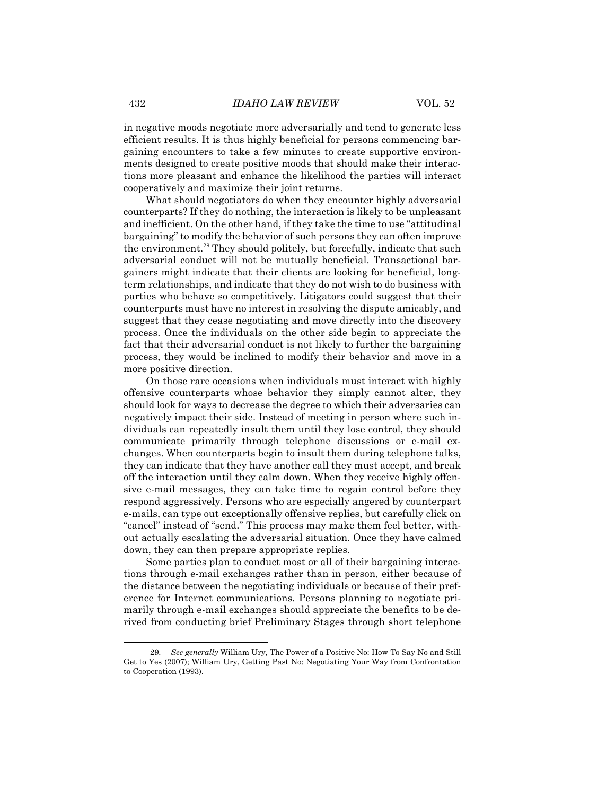in negative moods negotiate more adversarially and tend to generate less efficient results. It is thus highly beneficial for persons commencing bargaining encounters to take a few minutes to create supportive environments designed to create positive moods that should make their interactions more pleasant and enhance the likelihood the parties will interact cooperatively and maximize their joint returns.

What should negotiators do when they encounter highly adversarial counterparts? If they do nothing, the interaction is likely to be unpleasant and inefficient. On the other hand, if they take the time to use "attitudinal bargaining" to modify the behavior of such persons they can often improve the environment. $^{29}$  They should politely, but forcefully, indicate that such adversarial conduct will not be mutually beneficial. Transactional bargainers might indicate that their clients are looking for beneficial, longterm relationships, and indicate that they do not wish to do business with parties who behave so competitively. Litigators could suggest that their counterparts must have no interest in resolving the dispute amicably, and suggest that they cease negotiating and move directly into the discovery process. Once the individuals on the other side begin to appreciate the fact that their adversarial conduct is not likely to further the bargaining process, they would be inclined to modify their behavior and move in a more positive direction.

On those rare occasions when individuals must interact with highly offensive counterparts whose behavior they simply cannot alter, they should look for ways to decrease the degree to which their adversaries can negatively impact their side. Instead of meeting in person where such individuals can repeatedly insult them until they lose control, they should communicate primarily through telephone discussions or e-mail exchanges. When counterparts begin to insult them during telephone talks, they can indicate that they have another call they must accept, and break off the interaction until they calm down. When they receive highly offensive e-mail messages, they can take time to regain control before they respond aggressively. Persons who are especially angered by counterpart e-mails, can type out exceptionally offensive replies, but carefully click on "cancel" instead of "send." This process may make them feel better, without actually escalating the adversarial situation. Once they have calmed down, they can then prepare appropriate replies.

Some parties plan to conduct most or all of their bargaining interactions through e-mail exchanges rather than in person, either because of the distance between the negotiating individuals or because of their preference for Internet communications. Persons planning to negotiate primarily through e-mail exchanges should appreciate the benefits to be derived from conducting brief Preliminary Stages through short telephone

See generally William Ury, The Power of a Positive No: How To Say No and Still Get to Yes (2007); William Ury, Getting Past No: Negotiating Your Way from Confrontation to Cooperation (1993).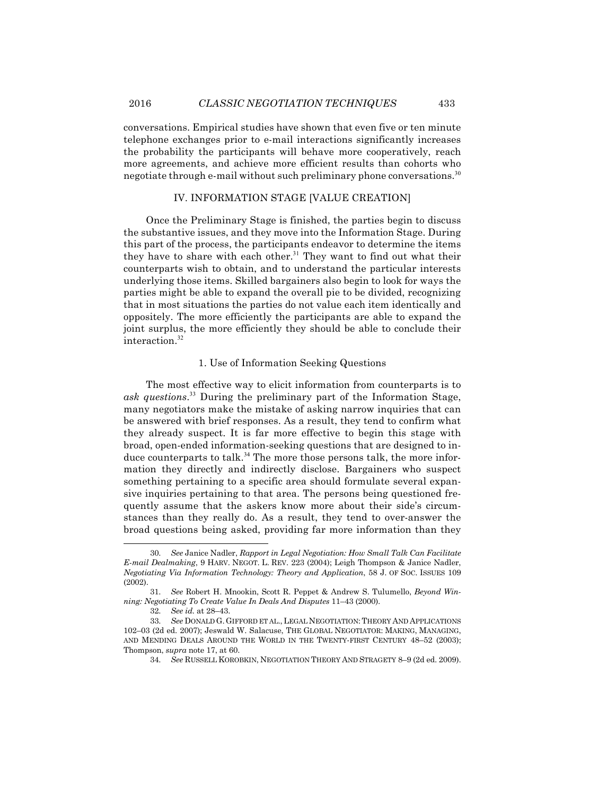conversations. Empirical studies have shown that even five or ten minute telephone exchanges prior to e-mail interactions significantly increases the probability the participants will behave more cooperatively, reach more agreements, and achieve more efficient results than cohorts who negotiate through e-mail without such preliminary phone conversations.<sup>30</sup>

## IV. INFORMATION STAGE [VALUE CREATION]

Once the Preliminary Stage is finished, the parties begin to discuss the substantive issues, and they move into the Information Stage. During this part of the process, the participants endeavor to determine the items they have to share with each other.<sup>31</sup> They want to find out what their counterparts wish to obtain, and to understand the particular interests underlying those items. Skilled bargainers also begin to look for ways the parties might be able to expand the overall pie to be divided, recognizing that in most situations the parties do not value each item identically and oppositely. The more efficiently the participants are able to expand the joint surplus, the more efficiently they should be able to conclude their interaction.<sup>32</sup>

#### 1. Use of Information Seeking Questions

The most effective way to elicit information from counterparts is to *ask questions*. <sup>33</sup> During the preliminary part of the Information Stage, many negotiators make the mistake of asking narrow inquiries that can be answered with brief responses. As a result, they tend to confirm what they already suspect. It is far more effective to begin this stage with broad, open-ended information-seeking questions that are designed to induce counterparts to talk.<sup>34</sup> The more those persons talk, the more information they directly and indirectly disclose. Bargainers who suspect something pertaining to a specific area should formulate several expansive inquiries pertaining to that area. The persons being questioned frequently assume that the askers know more about their side's circumstances than they really do. As a result, they tend to over-answer the broad questions being asked, providing far more information than they

<sup>30.</sup> *See* Janice Nadler, *Rapport in Legal Negotiation: How Small Talk Can Facilitate E-mail Dealmaking*, 9 HARV. NEGOT. L. REV. 223 (2004); Leigh Thompson & Janice Nadler, *Negotiating Via Information Technology: Theory and Application*, 58 J. OF SOC. ISSUES 109 (2002).

<sup>31.</sup> *See* Robert H. Mnookin, Scott R. Peppet & Andrew S. Tulumello, *Beyond Winning: Negotiating To Create Value In Deals And Disputes* 11–43 (2000).

<sup>32.</sup> *See id.* at 28–43.

<sup>33.</sup> *See* DONALD G. GIFFORD ET AL.,LEGAL NEGOTIATION:THEORY AND APPLICATIONS 102–03 (2d ed. 2007); Jeswald W. Salacuse, THE GLOBAL NEGOTIATOR: MAKING, MANAGING, AND MENDING DEALS AROUND THE WORLD IN THE TWENTY-FIRST CENTURY 48–52 (2003); Thompson, *supra* note 17, at 60.

<sup>34.</sup> *See* RUSSELL KOROBKIN, NEGOTIATION THEORY AND STRAGETY 8–9 (2d ed. 2009).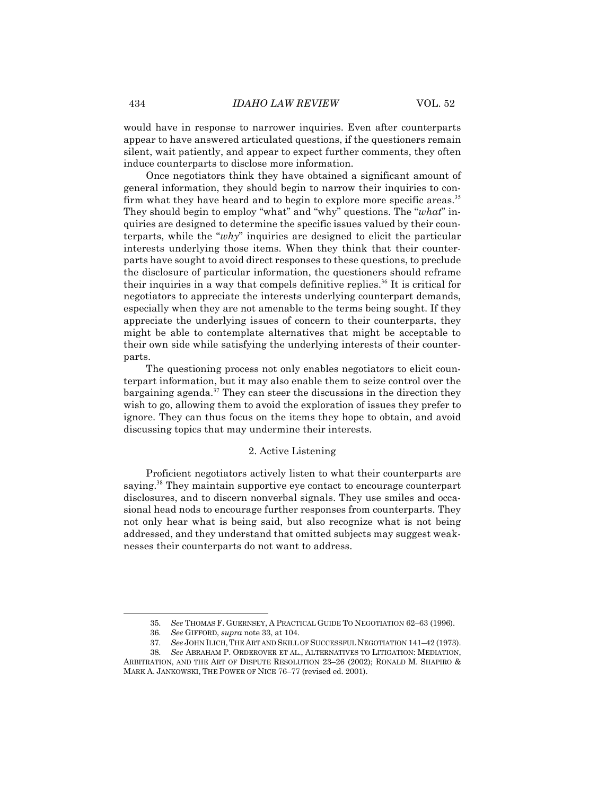would have in response to narrower inquiries. Even after counterparts appear to have answered articulated questions, if the questioners remain silent, wait patiently, and appear to expect further comments, they often induce counterparts to disclose more information.

Once negotiators think they have obtained a significant amount of general information, they should begin to narrow their inquiries to confirm what they have heard and to begin to explore more specific areas.<sup>35</sup> They should begin to employ "what" and "why" questions. The "*what*" inquiries are designed to determine the specific issues valued by their counterparts, while the "*why*" inquiries are designed to elicit the particular interests underlying those items. When they think that their counterparts have sought to avoid direct responses to these questions, to preclude the disclosure of particular information, the questioners should reframe their inquiries in a way that compels definitive replies.<sup>36</sup> It is critical for negotiators to appreciate the interests underlying counterpart demands, especially when they are not amenable to the terms being sought. If they appreciate the underlying issues of concern to their counterparts, they might be able to contemplate alternatives that might be acceptable to their own side while satisfying the underlying interests of their counterparts.

The questioning process not only enables negotiators to elicit counterpart information, but it may also enable them to seize control over the bargaining agenda. $37$  They can steer the discussions in the direction they wish to go, allowing them to avoid the exploration of issues they prefer to ignore. They can thus focus on the items they hope to obtain, and avoid discussing topics that may undermine their interests.

#### 2. Active Listening

Proficient negotiators actively listen to what their counterparts are saying.<sup>38</sup> They maintain supportive eye contact to encourage counterpart disclosures, and to discern nonverbal signals. They use smiles and occasional head nods to encourage further responses from counterparts. They not only hear what is being said, but also recognize what is not being addressed, and they understand that omitted subjects may suggest weaknesses their counterparts do not want to address.

<sup>35.</sup> *See* THOMAS F. GUERNSEY, A PRACTICAL GUIDE TO NEGOTIATION 62–63 (1996).

<sup>36.</sup> *See* GIFFORD, *supra* note 33, at 104.

<sup>37.</sup> *See* JOHN ILICH,THE ART AND SKILL OF SUCCESSFUL NEGOTIATION 141–42 (1973).

<sup>38.</sup> *See* ABRAHAM P. ORDEROVER ET AL., ALTERNATIVES TO LITIGATION: MEDIATION, ARBITRATION, AND THE ART OF DISPUTE RESOLUTION 23–26 (2002); RONALD M. SHAPIRO & MARK A. JANKOWSKI, THE POWER OF NICE 76–77 (revised ed. 2001).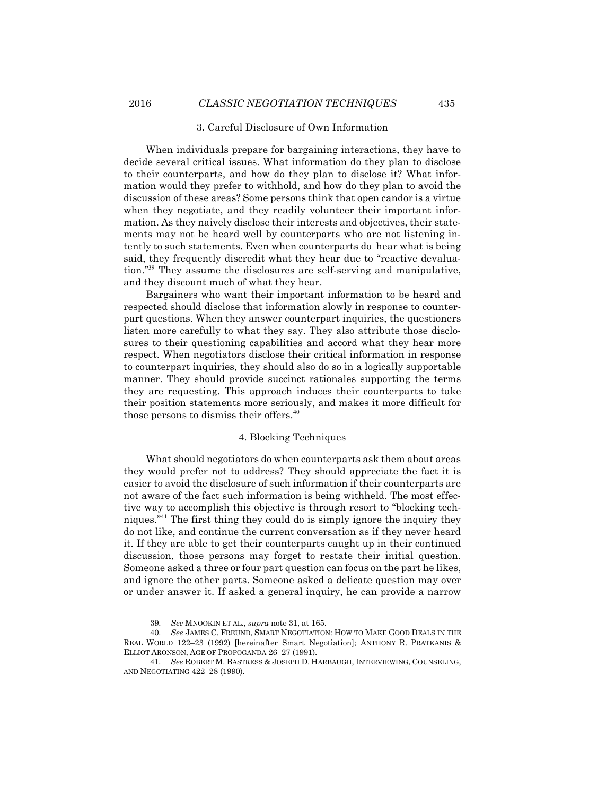## 3. Careful Disclosure of Own Information

When individuals prepare for bargaining interactions, they have to decide several critical issues. What information do they plan to disclose to their counterparts, and how do they plan to disclose it? What information would they prefer to withhold, and how do they plan to avoid the discussion of these areas? Some persons think that open candor is a virtue when they negotiate, and they readily volunteer their important information. As they naively disclose their interests and objectives, their statements may not be heard well by counterparts who are not listening intently to such statements. Even when counterparts do hear what is being said, they frequently discredit what they hear due to "reactive devaluation."<sup>39</sup> They assume the disclosures are self-serving and manipulative, and they discount much of what they hear.

Bargainers who want their important information to be heard and respected should disclose that information slowly in response to counterpart questions. When they answer counterpart inquiries, the questioners listen more carefully to what they say. They also attribute those disclosures to their questioning capabilities and accord what they hear more respect. When negotiators disclose their critical information in response to counterpart inquiries, they should also do so in a logically supportable manner. They should provide succinct rationales supporting the terms they are requesting. This approach induces their counterparts to take their position statements more seriously, and makes it more difficult for those persons to dismiss their offers.<sup>40</sup>

## 4. Blocking Techniques

What should negotiators do when counterparts ask them about areas they would prefer not to address? They should appreciate the fact it is easier to avoid the disclosure of such information if their counterparts are not aware of the fact such information is being withheld. The most effective way to accomplish this objective is through resort to "blocking techniques."<sup>41</sup> The first thing they could do is simply ignore the inquiry they do not like, and continue the current conversation as if they never heard it. If they are able to get their counterparts caught up in their continued discussion, those persons may forget to restate their initial question. Someone asked a three or four part question can focus on the part he likes, and ignore the other parts. Someone asked a delicate question may over or under answer it. If asked a general inquiry, he can provide a narrow

<sup>39.</sup> *See* MNOOKIN ET AL., *supra* note 31, at 165.

<sup>40.</sup> *See* JAMES C. FREUND, SMART NEGOTIATION: HOW TO MAKE GOOD DEALS IN THE REAL WORLD 122–23 (1992) [hereinafter Smart Negotiation]; ANTHONY R. PRATKANIS & ELLIOT ARONSON, AGE OF PROPOGANDA 26–27 (1991).

<sup>41.</sup> *See* ROBERT M. BASTRESS & JOSEPH D. HARBAUGH, INTERVIEWING, COUNSELING, AND NEGOTIATING 422–28 (1990).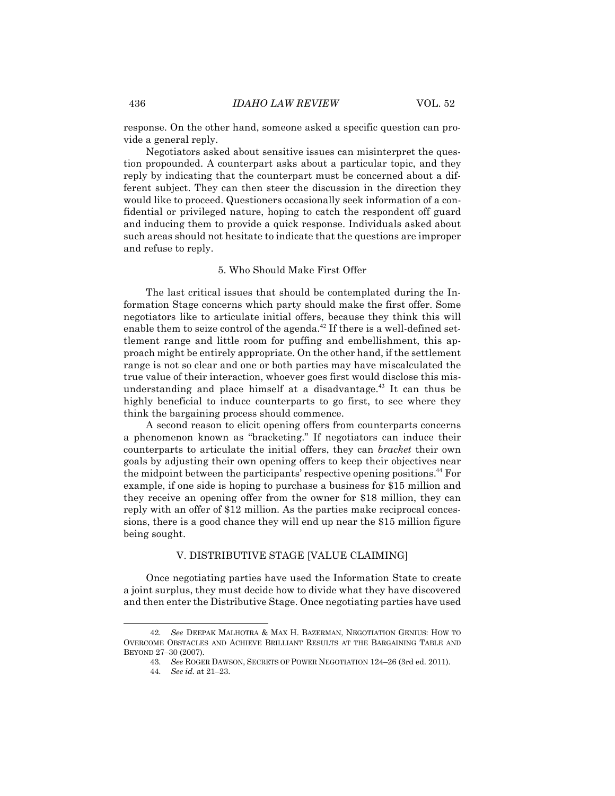response. On the other hand, someone asked a specific question can provide a general reply.

Negotiators asked about sensitive issues can misinterpret the question propounded. A counterpart asks about a particular topic, and they reply by indicating that the counterpart must be concerned about a different subject. They can then steer the discussion in the direction they would like to proceed. Questioners occasionally seek information of a confidential or privileged nature, hoping to catch the respondent off guard and inducing them to provide a quick response. Individuals asked about such areas should not hesitate to indicate that the questions are improper and refuse to reply.

## 5. Who Should Make First Offer

The last critical issues that should be contemplated during the Information Stage concerns which party should make the first offer. Some negotiators like to articulate initial offers, because they think this will enable them to seize control of the agenda.<sup>42</sup> If there is a well-defined settlement range and little room for puffing and embellishment, this approach might be entirely appropriate. On the other hand, if the settlement range is not so clear and one or both parties may have miscalculated the true value of their interaction, whoever goes first would disclose this misunderstanding and place himself at a disadvantage.<sup>43</sup> It can thus be highly beneficial to induce counterparts to go first, to see where they think the bargaining process should commence.

A second reason to elicit opening offers from counterparts concerns a phenomenon known as "bracketing." If negotiators can induce their counterparts to articulate the initial offers, they can *bracket* their own goals by adjusting their own opening offers to keep their objectives near the midpoint between the participants' respective opening positions.<sup>44</sup> For example, if one side is hoping to purchase a business for \$15 million and they receive an opening offer from the owner for \$18 million, they can reply with an offer of \$12 million. As the parties make reciprocal concessions, there is a good chance they will end up near the \$15 million figure being sought.

#### V. DISTRIBUTIVE STAGE [VALUE CLAIMING]

Once negotiating parties have used the Information State to create a joint surplus, they must decide how to divide what they have discovered and then enter the Distributive Stage. Once negotiating parties have used

<sup>42.</sup> *See* DEEPAK MALHOTRA & MAX H. BAZERMAN, NEGOTIATION GENIUS: HOW TO OVERCOME OBSTACLES AND ACHIEVE BRILLIANT RESULTS AT THE BARGAINING TABLE AND BEYOND 27–30 (2007).

<sup>43.</sup> *See* ROGER DAWSON, SECRETS OF POWER NEGOTIATION 124–26 (3rd ed. 2011).

<sup>44.</sup> *See id.* at 21–23.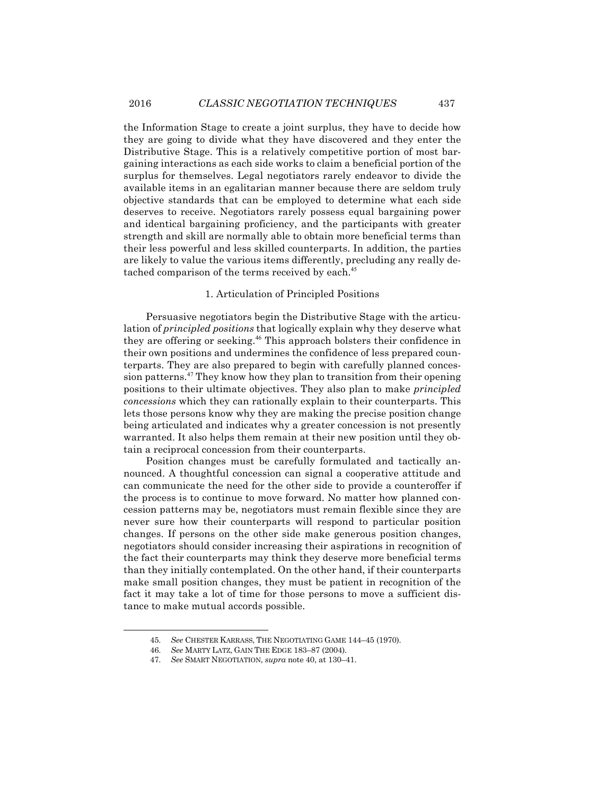the Information Stage to create a joint surplus, they have to decide how they are going to divide what they have discovered and they enter the Distributive Stage. This is a relatively competitive portion of most bargaining interactions as each side works to claim a beneficial portion of the surplus for themselves. Legal negotiators rarely endeavor to divide the available items in an egalitarian manner because there are seldom truly objective standards that can be employed to determine what each side deserves to receive. Negotiators rarely possess equal bargaining power and identical bargaining proficiency, and the participants with greater strength and skill are normally able to obtain more beneficial terms than their less powerful and less skilled counterparts. In addition, the parties are likely to value the various items differently, precluding any really detached comparison of the terms received by each.<sup>45</sup>

#### 1. Articulation of Principled Positions

Persuasive negotiators begin the Distributive Stage with the articulation of *principled positions* that logically explain why they deserve what they are offering or seeking.<sup>46</sup> This approach bolsters their confidence in their own positions and undermines the confidence of less prepared counterparts. They are also prepared to begin with carefully planned concession patterns.<sup>47</sup> They know how they plan to transition from their opening positions to their ultimate objectives. They also plan to make *principled concessions* which they can rationally explain to their counterparts. This lets those persons know why they are making the precise position change being articulated and indicates why a greater concession is not presently warranted. It also helps them remain at their new position until they obtain a reciprocal concession from their counterparts.

Position changes must be carefully formulated and tactically announced. A thoughtful concession can signal a cooperative attitude and can communicate the need for the other side to provide a counteroffer if the process is to continue to move forward. No matter how planned concession patterns may be, negotiators must remain flexible since they are never sure how their counterparts will respond to particular position changes. If persons on the other side make generous position changes, negotiators should consider increasing their aspirations in recognition of the fact their counterparts may think they deserve more beneficial terms than they initially contemplated. On the other hand, if their counterparts make small position changes, they must be patient in recognition of the fact it may take a lot of time for those persons to move a sufficient distance to make mutual accords possible.

<sup>45.</sup> *See* CHESTER KARRASS, THE NEGOTIATING GAME 144–45 (1970).

<sup>46.</sup> *See* MARTY LATZ, GAIN THE EDGE 183–87 (2004).

<sup>47.</sup> *See* SMART NEGOTIATION, *supra* note 40, at 130–41.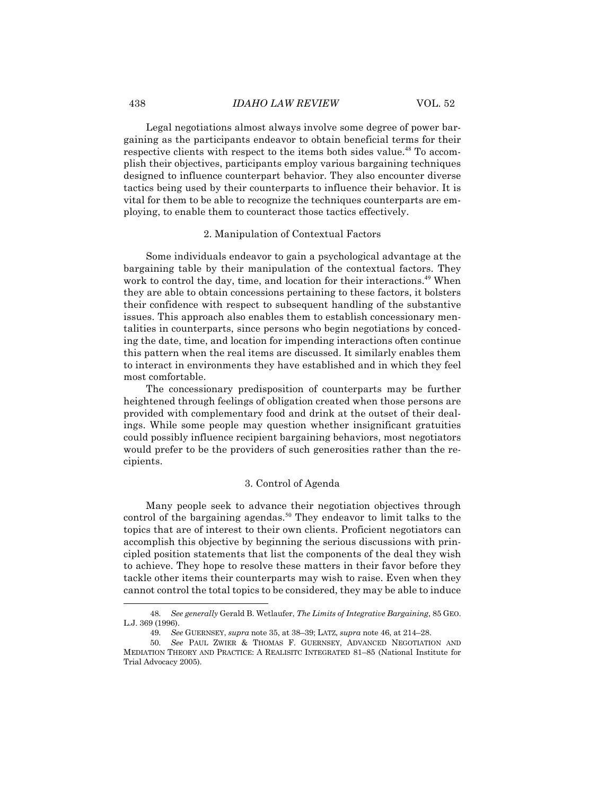#### 438 *IDAHO LAW REVIEW* VOL. 52

Legal negotiations almost always involve some degree of power bargaining as the participants endeavor to obtain beneficial terms for their respective clients with respect to the items both sides value.<sup>48</sup> To accomplish their objectives, participants employ various bargaining techniques designed to influence counterpart behavior. They also encounter diverse tactics being used by their counterparts to influence their behavior. It is vital for them to be able to recognize the techniques counterparts are employing, to enable them to counteract those tactics effectively.

#### 2. Manipulation of Contextual Factors

Some individuals endeavor to gain a psychological advantage at the bargaining table by their manipulation of the contextual factors. They work to control the day, time, and location for their interactions.<sup>49</sup> When they are able to obtain concessions pertaining to these factors, it bolsters their confidence with respect to subsequent handling of the substantive issues. This approach also enables them to establish concessionary mentalities in counterparts, since persons who begin negotiations by conceding the date, time, and location for impending interactions often continue this pattern when the real items are discussed. It similarly enables them to interact in environments they have established and in which they feel most comfortable.

The concessionary predisposition of counterparts may be further heightened through feelings of obligation created when those persons are provided with complementary food and drink at the outset of their dealings. While some people may question whether insignificant gratuities could possibly influence recipient bargaining behaviors, most negotiators would prefer to be the providers of such generosities rather than the recipients.

#### 3. Control of Agenda

Many people seek to advance their negotiation objectives through control of the bargaining agendas.<sup>50</sup> They endeavor to limit talks to the topics that are of interest to their own clients. Proficient negotiators can accomplish this objective by beginning the serious discussions with principled position statements that list the components of the deal they wish to achieve. They hope to resolve these matters in their favor before they tackle other items their counterparts may wish to raise. Even when they cannot control the total topics to be considered, they may be able to induce

<sup>48.</sup> *See generally* Gerald B. Wetlaufer, *The Limits of Integrative Bargaining*, 85 GEO. L.J. 369 (1996).

<sup>49.</sup> *See* GUERNSEY, *supra* note 35, at 38–39; LATZ, *supra* note 46, at 214–28.

<sup>50.</sup> *See* PAUL ZWIER & THOMAS F. GUERNSEY, ADVANCED NEGOTIATION AND MEDIATION THEORY AND PRACTICE: A REALISITC INTEGRATED 81–85 (National Institute for Trial Advocacy 2005).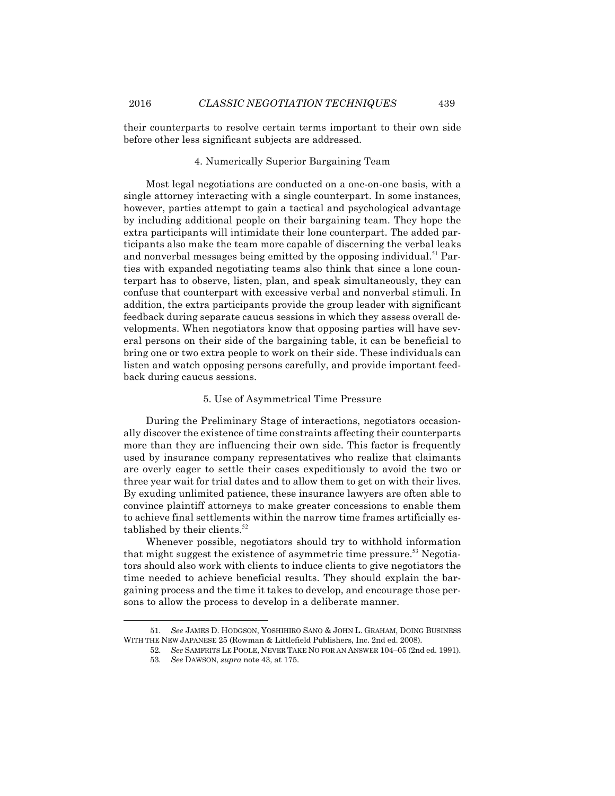their counterparts to resolve certain terms important to their own side before other less significant subjects are addressed.

#### 4. Numerically Superior Bargaining Team

Most legal negotiations are conducted on a one-on-one basis, with a single attorney interacting with a single counterpart. In some instances, however, parties attempt to gain a tactical and psychological advantage by including additional people on their bargaining team. They hope the extra participants will intimidate their lone counterpart. The added participants also make the team more capable of discerning the verbal leaks and nonverbal messages being emitted by the opposing individual. $^{51}$  Parties with expanded negotiating teams also think that since a lone counterpart has to observe, listen, plan, and speak simultaneously, they can confuse that counterpart with excessive verbal and nonverbal stimuli. In addition, the extra participants provide the group leader with significant feedback during separate caucus sessions in which they assess overall developments. When negotiators know that opposing parties will have several persons on their side of the bargaining table, it can be beneficial to bring one or two extra people to work on their side. These individuals can listen and watch opposing persons carefully, and provide important feedback during caucus sessions.

#### 5. Use of Asymmetrical Time Pressure

During the Preliminary Stage of interactions, negotiators occasionally discover the existence of time constraints affecting their counterparts more than they are influencing their own side. This factor is frequently used by insurance company representatives who realize that claimants are overly eager to settle their cases expeditiously to avoid the two or three year wait for trial dates and to allow them to get on with their lives. By exuding unlimited patience, these insurance lawyers are often able to convince plaintiff attorneys to make greater concessions to enable them to achieve final settlements within the narrow time frames artificially established by their clients.<sup>52</sup>

Whenever possible, negotiators should try to withhold information that might suggest the existence of asymmetric time pressure.<sup>53</sup> Negotiators should also work with clients to induce clients to give negotiators the time needed to achieve beneficial results. They should explain the bargaining process and the time it takes to develop, and encourage those persons to allow the process to develop in a deliberate manner.

<sup>51.</sup> *See* JAMES D. HODGSON, YOSHIHIRO SANO & JOHN L. GRAHAM, DOING BUSINESS WITH THE NEW JAPANESE 25 (Rowman & Littlefield Publishers, Inc. 2nd ed. 2008).

<sup>52.</sup> *See* SAMFRITS LE POOLE, NEVER TAKE NO FOR AN ANSWER 104–05 (2nd ed. 1991).

<sup>53.</sup> *See* DAWSON, *supra* note 43, at 175.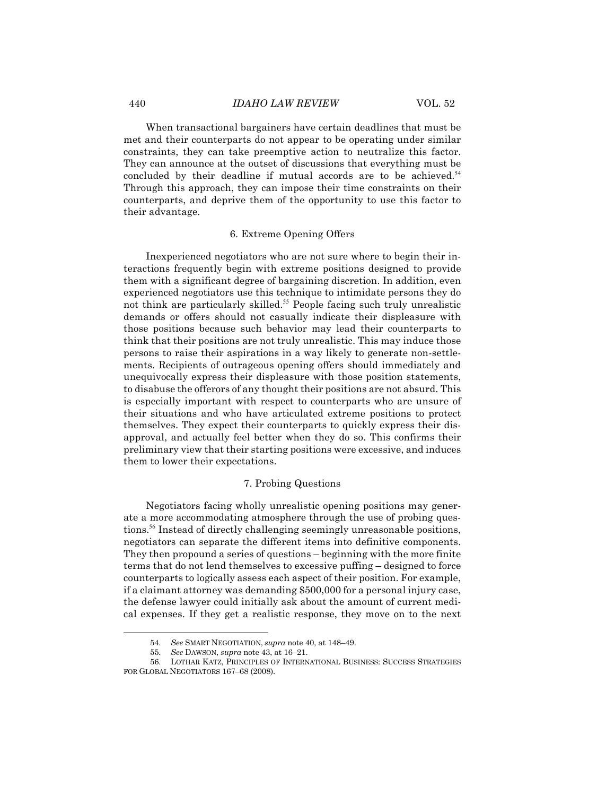When transactional bargainers have certain deadlines that must be met and their counterparts do not appear to be operating under similar constraints, they can take preemptive action to neutralize this factor. They can announce at the outset of discussions that everything must be concluded by their deadline if mutual accords are to be achieved.<sup>54</sup> Through this approach, they can impose their time constraints on their counterparts, and deprive them of the opportunity to use this factor to their advantage.

#### 6. Extreme Opening Offers

Inexperienced negotiators who are not sure where to begin their interactions frequently begin with extreme positions designed to provide them with a significant degree of bargaining discretion. In addition, even experienced negotiators use this technique to intimidate persons they do not think are particularly skilled.<sup>55</sup> People facing such truly unrealistic demands or offers should not casually indicate their displeasure with those positions because such behavior may lead their counterparts to think that their positions are not truly unrealistic. This may induce those persons to raise their aspirations in a way likely to generate non-settlements. Recipients of outrageous opening offers should immediately and unequivocally express their displeasure with those position statements, to disabuse the offerors of any thought their positions are not absurd. This is especially important with respect to counterparts who are unsure of their situations and who have articulated extreme positions to protect themselves. They expect their counterparts to quickly express their disapproval, and actually feel better when they do so. This confirms their preliminary view that their starting positions were excessive, and induces them to lower their expectations.

#### 7. Probing Questions

Negotiators facing wholly unrealistic opening positions may generate a more accommodating atmosphere through the use of probing questions.<sup>56</sup> Instead of directly challenging seemingly unreasonable positions, negotiators can separate the different items into definitive components. They then propound a series of questions – beginning with the more finite terms that do not lend themselves to excessive puffing – designed to force counterparts to logically assess each aspect of their position. For example, if a claimant attorney was demanding \$500,000 for a personal injury case, the defense lawyer could initially ask about the amount of current medical expenses. If they get a realistic response, they move on to the next

<sup>54.</sup> *See* SMART NEGOTIATION, *supra* note 40, at 148–49.

<sup>55.</sup> *See* DAWSON, *supra* note 43, at 16–21.

<sup>56.</sup> LOTHAR KATZ, PRINCIPLES OF INTERNATIONAL BUSINESS: SUCCESS STRATEGIES FOR GLOBAL NEGOTIATORS 167–68 (2008).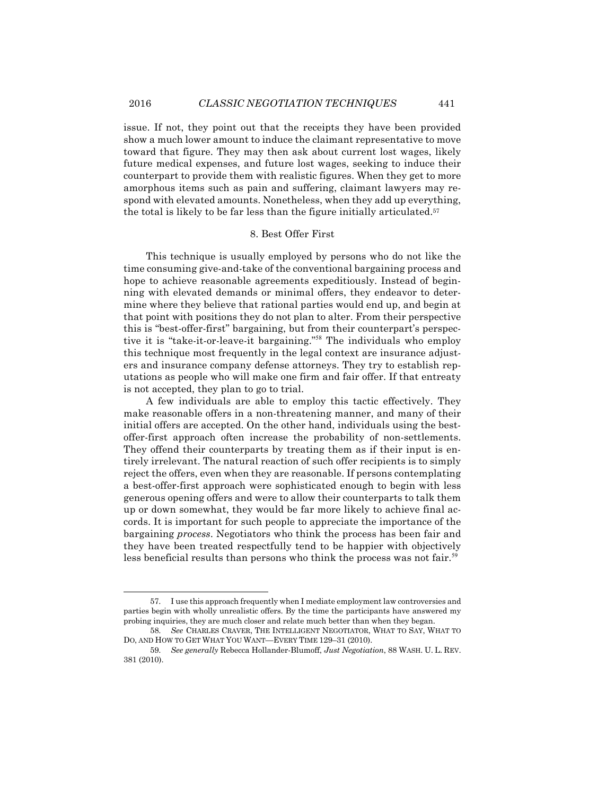issue. If not, they point out that the receipts they have been provided show a much lower amount to induce the claimant representative to move toward that figure. They may then ask about current lost wages, likely future medical expenses, and future lost wages, seeking to induce their counterpart to provide them with realistic figures. When they get to more amorphous items such as pain and suffering, claimant lawyers may respond with elevated amounts. Nonetheless, when they add up everything, the total is likely to be far less than the figure initially articulated.57

## 8. Best Offer First

This technique is usually employed by persons who do not like the time consuming give-and-take of the conventional bargaining process and hope to achieve reasonable agreements expeditiously. Instead of beginning with elevated demands or minimal offers, they endeavor to determine where they believe that rational parties would end up, and begin at that point with positions they do not plan to alter. From their perspective this is "best-offer-first" bargaining, but from their counterpart's perspective it is "take-it-or-leave-it bargaining." <sup>58</sup> The individuals who employ this technique most frequently in the legal context are insurance adjusters and insurance company defense attorneys. They try to establish reputations as people who will make one firm and fair offer. If that entreaty is not accepted, they plan to go to trial.

A few individuals are able to employ this tactic effectively. They make reasonable offers in a non-threatening manner, and many of their initial offers are accepted. On the other hand, individuals using the bestoffer-first approach often increase the probability of non-settlements. They offend their counterparts by treating them as if their input is entirely irrelevant. The natural reaction of such offer recipients is to simply reject the offers, even when they are reasonable. If persons contemplating a best-offer-first approach were sophisticated enough to begin with less generous opening offers and were to allow their counterparts to talk them up or down somewhat, they would be far more likely to achieve final accords. It is important for such people to appreciate the importance of the bargaining *process*. Negotiators who think the process has been fair and they have been treated respectfully tend to be happier with objectively less beneficial results than persons who think the process was not fair.<sup>59</sup>

<sup>57.</sup> I use this approach frequently when I mediate employment law controversies and parties begin with wholly unrealistic offers. By the time the participants have answered my probing inquiries, they are much closer and relate much better than when they began.

<sup>58.</sup> *See* CHARLES CRAVER, THE INTELLIGENT NEGOTIATOR, WHAT TO SAY, WHAT TO DO, AND HOW TO GET WHAT YOU WANT—EVERY TIME 129–31 (2010).

<sup>59.</sup> *See generally* Rebecca Hollander-Blumoff, *Just Negotiation*, 88 WASH. U. L. REV. 381 (2010).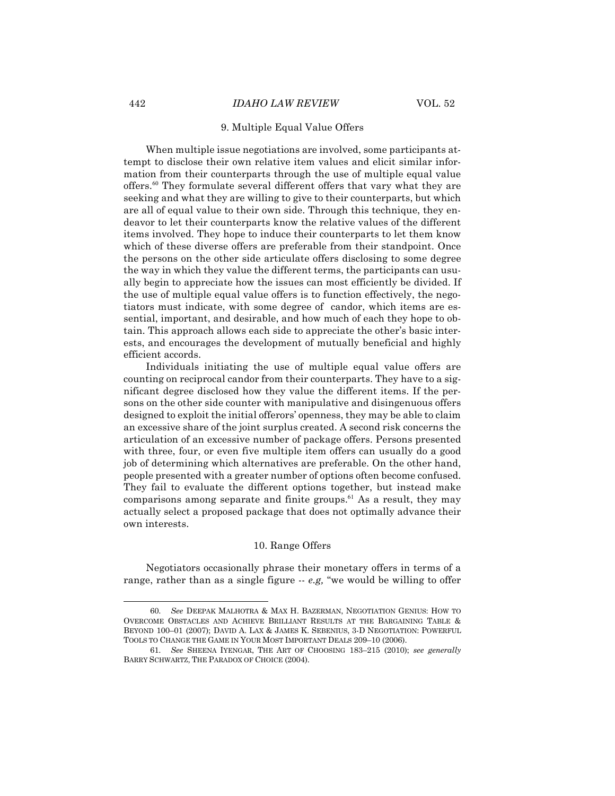## 9. Multiple Equal Value Offers

When multiple issue negotiations are involved, some participants attempt to disclose their own relative item values and elicit similar information from their counterparts through the use of multiple equal value offers.<sup>60</sup> They formulate several different offers that vary what they are seeking and what they are willing to give to their counterparts, but which are all of equal value to their own side. Through this technique, they endeavor to let their counterparts know the relative values of the different items involved. They hope to induce their counterparts to let them know which of these diverse offers are preferable from their standpoint. Once the persons on the other side articulate offers disclosing to some degree the way in which they value the different terms, the participants can usually begin to appreciate how the issues can most efficiently be divided. If the use of multiple equal value offers is to function effectively, the negotiators must indicate, with some degree of candor, which items are essential, important, and desirable, and how much of each they hope to obtain. This approach allows each side to appreciate the other's basic interests, and encourages the development of mutually beneficial and highly efficient accords.

Individuals initiating the use of multiple equal value offers are counting on reciprocal candor from their counterparts. They have to a significant degree disclosed how they value the different items. If the persons on the other side counter with manipulative and disingenuous offers designed to exploit the initial offerors' openness, they may be able to claim an excessive share of the joint surplus created. A second risk concerns the articulation of an excessive number of package offers. Persons presented with three, four, or even five multiple item offers can usually do a good job of determining which alternatives are preferable. On the other hand, people presented with a greater number of options often become confused. They fail to evaluate the different options together, but instead make comparisons among separate and finite groups.<sup>61</sup> As a result, they may actually select a proposed package that does not optimally advance their own interests.

## 10. Range Offers

Negotiators occasionally phrase their monetary offers in terms of a range, rather than as a single figure -- *e.g,* "we would be willing to offer

<sup>60.</sup> *See* DEEPAK MALHOTRA & MAX H. BAZERMAN, NEGOTIATION GENIUS: HOW TO OVERCOME OBSTACLES AND ACHIEVE BRILLIANT RESULTS AT THE BARGAINING TABLE & BEYOND 100–01 (2007); DAVID A. LAX & JAMES K. SEBENIUS, 3-D NEGOTIATION: POWERFUL TOOLS TO CHANGE THE GAME IN YOUR MOST IMPORTANT DEALS 209–10 (2006).

<sup>61.</sup> *See* SHEENA IYENGAR, THE ART OF CHOOSING 183–215 (2010); *see generally* BARRY SCHWARTZ, THE PARADOX OF CHOICE (2004).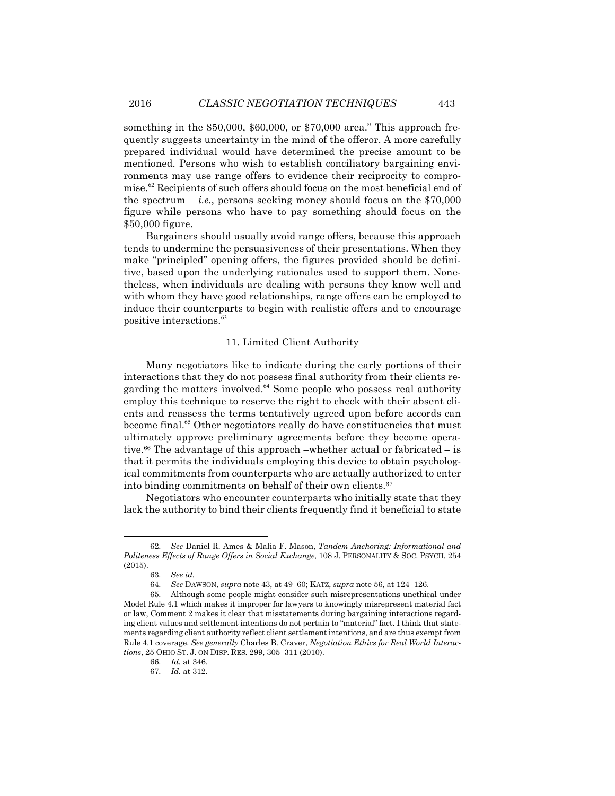something in the \$50,000, \$60,000, or \$70,000 area." This approach frequently suggests uncertainty in the mind of the offeror. A more carefully prepared individual would have determined the precise amount to be mentioned. Persons who wish to establish conciliatory bargaining environments may use range offers to evidence their reciprocity to compromise.<sup>62</sup> Recipients of such offers should focus on the most beneficial end of the spectrum  $-i.e.,$  persons seeking money should focus on the \$70,000 figure while persons who have to pay something should focus on the \$50,000 figure.

Bargainers should usually avoid range offers, because this approach tends to undermine the persuasiveness of their presentations. When they make "principled" opening offers, the figures provided should be definitive, based upon the underlying rationales used to support them. Nonetheless, when individuals are dealing with persons they know well and with whom they have good relationships, range offers can be employed to induce their counterparts to begin with realistic offers and to encourage positive interactions.<sup>63</sup>

### 11. Limited Client Authority

Many negotiators like to indicate during the early portions of their interactions that they do not possess final authority from their clients regarding the matters involved.<sup>64</sup> Some people who possess real authority employ this technique to reserve the right to check with their absent clients and reassess the terms tentatively agreed upon before accords can become final.<sup>65</sup> Other negotiators really do have constituencies that must ultimately approve preliminary agreements before they become operative.<sup>66</sup> The advantage of this approach –whether actual or fabricated – is that it permits the individuals employing this device to obtain psychological commitments from counterparts who are actually authorized to enter into binding commitments on behalf of their own clients.67

Negotiators who encounter counterparts who initially state that they lack the authority to bind their clients frequently find it beneficial to state

<sup>62.</sup> *See* Daniel R. Ames & Malia F. Mason, *Tandem Anchoring: Informational and Politeness Effects of Range Offers in Social Exchange*, 108 J. PERSONALITY & SOC. PSYCH. 254 (2015).

<sup>63.</sup> *See id.*

<sup>64.</sup> *See* DAWSON, *supra* note 43, at 49–60; KATZ, *supra* note 56, at 124–126.

<sup>65.</sup> Although some people might consider such misrepresentations unethical under Model Rule 4.1 which makes it improper for lawyers to knowingly misrepresent material fact or law, Comment 2 makes it clear that misstatements during bargaining interactions regarding client values and settlement intentions do not pertain to "material" fact. I think that statements regarding client authority reflect client settlement intentions, and are thus exempt from Rule 4.1 coverage. *See generally* Charles B. Craver, *Negotiation Ethics for Real World Interactions*, 25 OHIO ST. J. ON DISP. RES. 299, 305–311 (2010).

<sup>66.</sup> *Id.* at 346.

<sup>67.</sup> *Id.* at 312.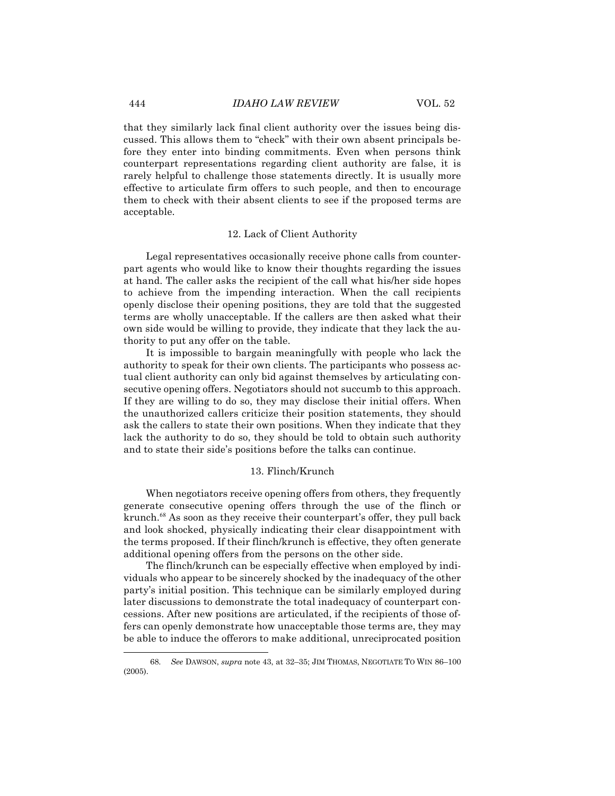that they similarly lack final client authority over the issues being discussed. This allows them to "check" with their own absent principals before they enter into binding commitments. Even when persons think counterpart representations regarding client authority are false, it is rarely helpful to challenge those statements directly. It is usually more effective to articulate firm offers to such people, and then to encourage them to check with their absent clients to see if the proposed terms are acceptable.

#### 12. Lack of Client Authority

Legal representatives occasionally receive phone calls from counterpart agents who would like to know their thoughts regarding the issues at hand. The caller asks the recipient of the call what his/her side hopes to achieve from the impending interaction. When the call recipients openly disclose their opening positions, they are told that the suggested terms are wholly unacceptable. If the callers are then asked what their own side would be willing to provide, they indicate that they lack the authority to put any offer on the table.

It is impossible to bargain meaningfully with people who lack the authority to speak for their own clients. The participants who possess actual client authority can only bid against themselves by articulating consecutive opening offers. Negotiators should not succumb to this approach. If they are willing to do so, they may disclose their initial offers. When the unauthorized callers criticize their position statements, they should ask the callers to state their own positions. When they indicate that they lack the authority to do so, they should be told to obtain such authority and to state their side's positions before the talks can continue.

#### 13. Flinch/Krunch

When negotiators receive opening offers from others, they frequently generate consecutive opening offers through the use of the flinch or krunch.<sup>68</sup> As soon as they receive their counterpart's offer, they pull back and look shocked, physically indicating their clear disappointment with the terms proposed. If their flinch/krunch is effective, they often generate additional opening offers from the persons on the other side.

The flinch/krunch can be especially effective when employed by individuals who appear to be sincerely shocked by the inadequacy of the other party's initial position. This technique can be similarly employed during later discussions to demonstrate the total inadequacy of counterpart concessions. After new positions are articulated, if the recipients of those offers can openly demonstrate how unacceptable those terms are, they may be able to induce the offerors to make additional, unreciprocated position

<sup>68.</sup> *See* DAWSON, *supra* note 43, at 32–35; JIM THOMAS, NEGOTIATE TO WIN 86–100 (2005).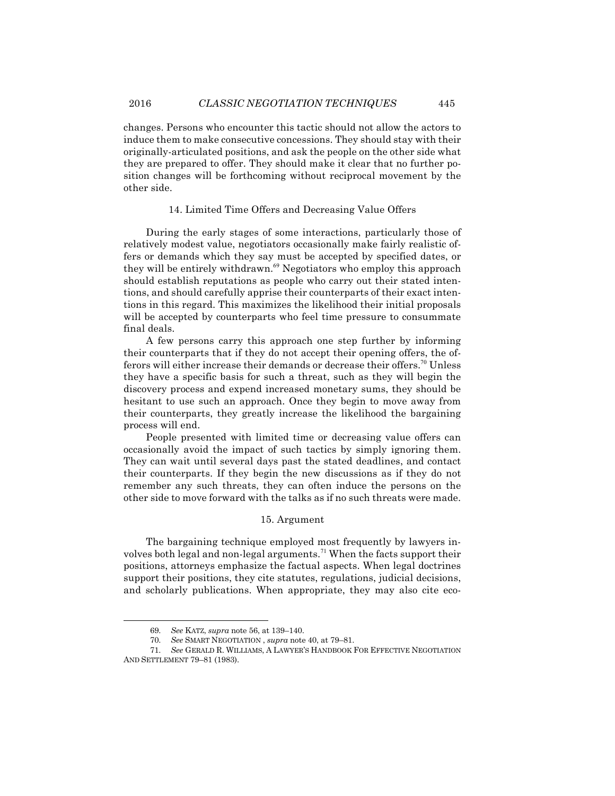changes. Persons who encounter this tactic should not allow the actors to induce them to make consecutive concessions. They should stay with their originally-articulated positions, and ask the people on the other side what they are prepared to offer. They should make it clear that no further position changes will be forthcoming without reciprocal movement by the other side.

## 14. Limited Time Offers and Decreasing Value Offers

During the early stages of some interactions, particularly those of relatively modest value, negotiators occasionally make fairly realistic offers or demands which they say must be accepted by specified dates, or they will be entirely withdrawn.<sup>69</sup> Negotiators who employ this approach should establish reputations as people who carry out their stated intentions, and should carefully apprise their counterparts of their exact intentions in this regard. This maximizes the likelihood their initial proposals will be accepted by counterparts who feel time pressure to consummate final deals.

A few persons carry this approach one step further by informing their counterparts that if they do not accept their opening offers, the offerors will either increase their demands or decrease their offers.<sup>70</sup> Unless they have a specific basis for such a threat, such as they will begin the discovery process and expend increased monetary sums, they should be hesitant to use such an approach. Once they begin to move away from their counterparts, they greatly increase the likelihood the bargaining process will end.

People presented with limited time or decreasing value offers can occasionally avoid the impact of such tactics by simply ignoring them. They can wait until several days past the stated deadlines, and contact their counterparts. If they begin the new discussions as if they do not remember any such threats, they can often induce the persons on the other side to move forward with the talks as if no such threats were made.

## 15. Argument

The bargaining technique employed most frequently by lawyers involves both legal and non-legal arguments.<sup>71</sup> When the facts support their positions, attorneys emphasize the factual aspects. When legal doctrines support their positions, they cite statutes, regulations, judicial decisions, and scholarly publications. When appropriate, they may also cite eco-

<sup>69.</sup> *See* KATZ, *supra* note 56, at 139–140.

<sup>70.</sup> *See* SMART NEGOTIATION , *supra* note 40, at 79–81.

<sup>71.</sup> *See* GERALD R. WILLIAMS, A LAWYER'S HANDBOOK FOR EFFECTIVE NEGOTIATION AND SETTLEMENT 79–81 (1983).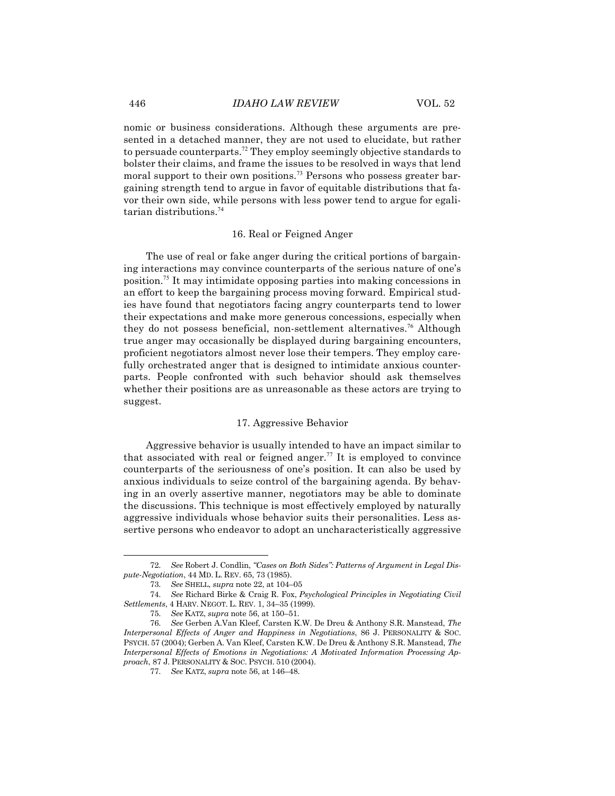nomic or business considerations. Although these arguments are presented in a detached manner, they are not used to elucidate, but rather to persuade counterparts.<sup>72</sup> They employ seemingly objective standards to bolster their claims, and frame the issues to be resolved in ways that lend moral support to their own positions.<sup>73</sup> Persons who possess greater bargaining strength tend to argue in favor of equitable distributions that favor their own side, while persons with less power tend to argue for egalitarian distributions.<sup>74</sup>

#### 16. Real or Feigned Anger

The use of real or fake anger during the critical portions of bargaining interactions may convince counterparts of the serious nature of one's position.<sup>75</sup> It may intimidate opposing parties into making concessions in an effort to keep the bargaining process moving forward. Empirical studies have found that negotiators facing angry counterparts tend to lower their expectations and make more generous concessions, especially when they do not possess beneficial, non-settlement alternatives.<sup>76</sup> Although true anger may occasionally be displayed during bargaining encounters, proficient negotiators almost never lose their tempers. They employ carefully orchestrated anger that is designed to intimidate anxious counterparts. People confronted with such behavior should ask themselves whether their positions are as unreasonable as these actors are trying to suggest.

#### 17. Aggressive Behavior

Aggressive behavior is usually intended to have an impact similar to that associated with real or feigned anger.<sup>77</sup> It is employed to convince counterparts of the seriousness of one's position. It can also be used by anxious individuals to seize control of the bargaining agenda. By behaving in an overly assertive manner, negotiators may be able to dominate the discussions. This technique is most effectively employed by naturally aggressive individuals whose behavior suits their personalities. Less assertive persons who endeavor to adopt an uncharacteristically aggressive

<sup>72.</sup> *See* Robert J. Condlin, *"Cases on Both Sides": Patterns of Argument in Legal Dispute-Negotiation*, 44 MD. L. REV. 65, 73 (1985).

<sup>73.</sup> *See* SHELL, *supra* note 22, at 104–05

<sup>74.</sup> *See* Richard Birke & Craig R. Fox, *Psychological Principles in Negotiating Civil Settlements*, 4 HARV. NEGOT. L. REV. 1, 34–35 (1999).

<sup>75.</sup> *See* KATZ, *supra* note 56, at 150–51.

<sup>76.</sup> *See* Gerben A.Van Kleef, Carsten K.W. De Dreu & Anthony S.R. Manstead, *The Interpersonal Effects of Anger and Happiness in Negotiations*, 86 J. PERSONALITY & SOC. PSYCH. 57 (2004); Gerben A. Van Kleef, Carsten K.W. De Dreu & Anthony S.R. Manstead, *The Interpersonal Effects of Emotions in Negotiations: A Motivated Information Processing Approach*, 87 J. PERSONALITY & SOC. PSYCH. 510 (2004).

<sup>77.</sup> *See* KATZ, *supra* note 56, at 146–48.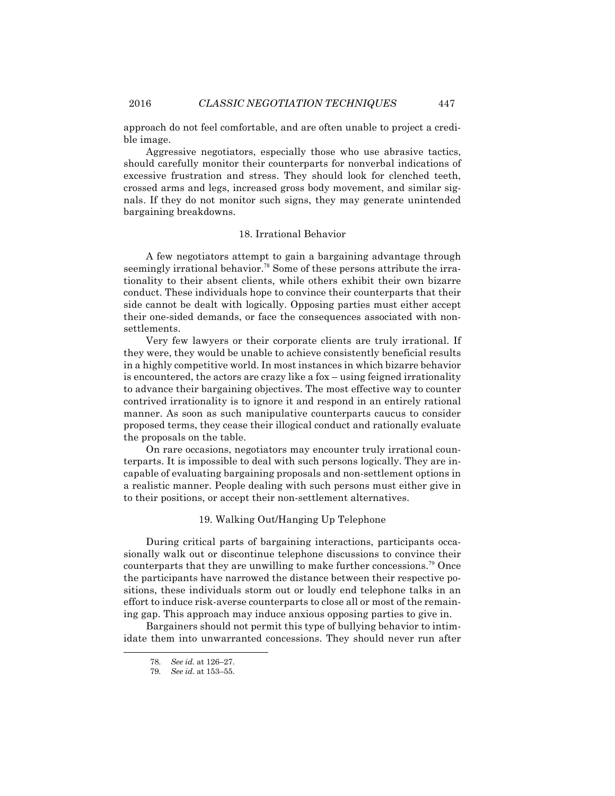approach do not feel comfortable, and are often unable to project a credible image.

Aggressive negotiators, especially those who use abrasive tactics, should carefully monitor their counterparts for nonverbal indications of excessive frustration and stress. They should look for clenched teeth, crossed arms and legs, increased gross body movement, and similar signals. If they do not monitor such signs, they may generate unintended bargaining breakdowns.

#### 18. Irrational Behavior

A few negotiators attempt to gain a bargaining advantage through seemingly irrational behavior.<sup>78</sup> Some of these persons attribute the irrationality to their absent clients, while others exhibit their own bizarre conduct. These individuals hope to convince their counterparts that their side cannot be dealt with logically. Opposing parties must either accept their one-sided demands, or face the consequences associated with nonsettlements.

Very few lawyers or their corporate clients are truly irrational. If they were, they would be unable to achieve consistently beneficial results in a highly competitive world. In most instances in which bizarre behavior is encountered, the actors are crazy like a fox – using feigned irrationality to advance their bargaining objectives. The most effective way to counter contrived irrationality is to ignore it and respond in an entirely rational manner. As soon as such manipulative counterparts caucus to consider proposed terms, they cease their illogical conduct and rationally evaluate the proposals on the table.

On rare occasions, negotiators may encounter truly irrational counterparts. It is impossible to deal with such persons logically. They are incapable of evaluating bargaining proposals and non-settlement options in a realistic manner. People dealing with such persons must either give in to their positions, or accept their non-settlement alternatives.

## 19. Walking Out/Hanging Up Telephone

During critical parts of bargaining interactions, participants occasionally walk out or discontinue telephone discussions to convince their counterparts that they are unwilling to make further concessions.<sup>79</sup> Once the participants have narrowed the distance between their respective positions, these individuals storm out or loudly end telephone talks in an effort to induce risk-averse counterparts to close all or most of the remaining gap. This approach may induce anxious opposing parties to give in.

Bargainers should not permit this type of bullying behavior to intimidate them into unwarranted concessions. They should never run after

<sup>78.</sup> *See id.* at 126–27.

<sup>79.</sup> *See id.* at 153–55.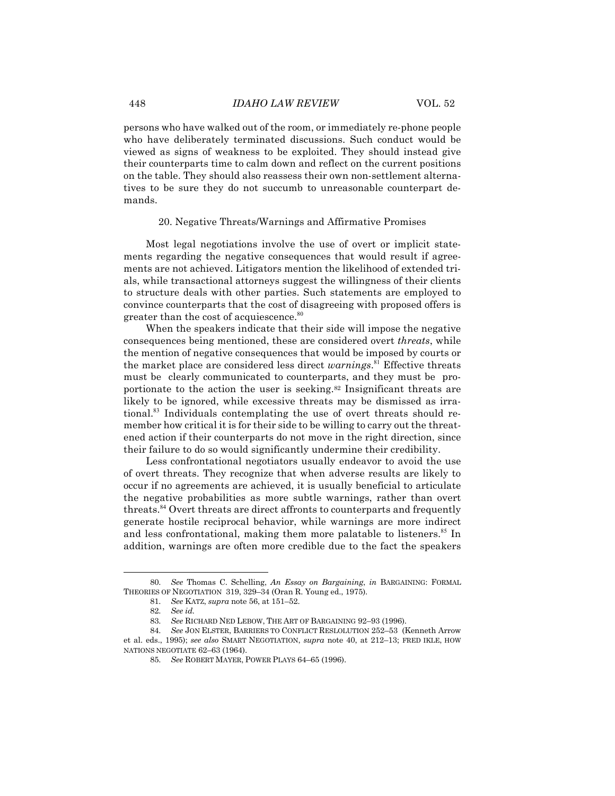persons who have walked out of the room, or immediately re-phone people who have deliberately terminated discussions. Such conduct would be viewed as signs of weakness to be exploited. They should instead give their counterparts time to calm down and reflect on the current positions on the table. They should also reassess their own non-settlement alternatives to be sure they do not succumb to unreasonable counterpart demands.

#### 20. Negative Threats/Warnings and Affirmative Promises

Most legal negotiations involve the use of overt or implicit statements regarding the negative consequences that would result if agreements are not achieved. Litigators mention the likelihood of extended trials, while transactional attorneys suggest the willingness of their clients to structure deals with other parties. Such statements are employed to convince counterparts that the cost of disagreeing with proposed offers is greater than the cost of acquiescence.<sup>80</sup>

When the speakers indicate that their side will impose the negative consequences being mentioned, these are considered overt *threats*, while the mention of negative consequences that would be imposed by courts or the market place are considered less direct *warnings*. <sup>81</sup> Effective threats must be clearly communicated to counterparts, and they must be proportionate to the action the user is seeking.82 Insignificant threats are likely to be ignored, while excessive threats may be dismissed as irrational.<sup>83</sup> Individuals contemplating the use of overt threats should remember how critical it is for their side to be willing to carry out the threatened action if their counterparts do not move in the right direction, since their failure to do so would significantly undermine their credibility.

Less confrontational negotiators usually endeavor to avoid the use of overt threats. They recognize that when adverse results are likely to occur if no agreements are achieved, it is usually beneficial to articulate the negative probabilities as more subtle warnings, rather than overt threats.<sup>84</sup> Overt threats are direct affronts to counterparts and frequently generate hostile reciprocal behavior, while warnings are more indirect and less confrontational, making them more palatable to listeners.<sup>85</sup> In addition, warnings are often more credible due to the fact the speakers

<sup>80.</sup> *See* Thomas C. Schelling, *An Essay on Bargaining*, *in* BARGAINING: FORMAL THEORIES OF NEGOTIATION 319, 329–34 (Oran R. Young ed., 1975).

<sup>81.</sup> *See* KATZ, *supra* note 56, at 151–52.

<sup>82.</sup> *See id.*

<sup>83.</sup> *See* RICHARD NED LEBOW, THE ART OF BARGAINING 92–93 (1996).

<sup>84.</sup> *See* JON ELSTER, BARRIERS TO CONFLICT RESLOLUTION 252–53 (Kenneth Arrow et al. eds., 1995); *see also* SMART NEGOTIATION, *supra* note 40, at 212–13; FRED IKLE, HOW NATIONS NEGOTIATE 62–63 (1964).

<sup>85.</sup> *See* ROBERT MAYER, POWER PLAYS 64–65 (1996).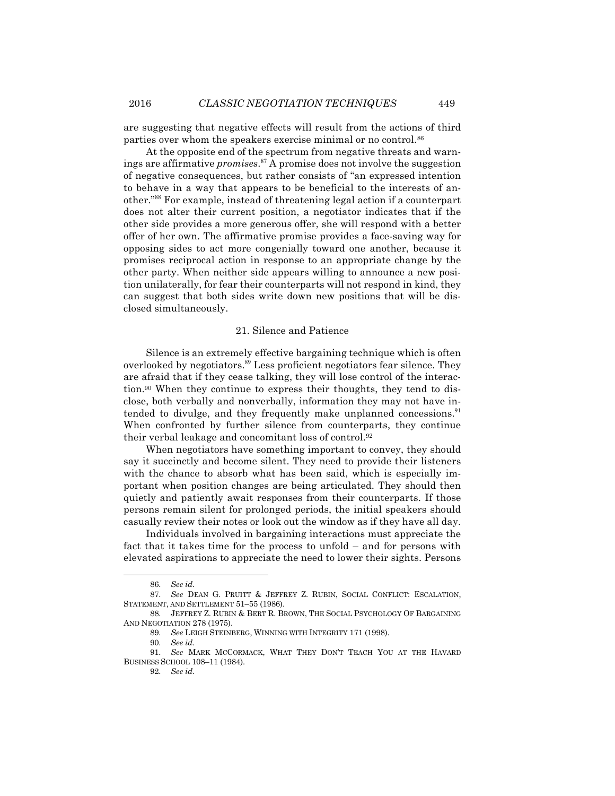are suggesting that negative effects will result from the actions of third parties over whom the speakers exercise minimal or no control.86

At the opposite end of the spectrum from negative threats and warnings are affirmative *promises*. <sup>87</sup> A promise does not involve the suggestion of negative consequences, but rather consists of "an expressed intention to behave in a way that appears to be beneficial to the interests of another."<sup>88</sup> For example, instead of threatening legal action if a counterpart does not alter their current position, a negotiator indicates that if the other side provides a more generous offer, she will respond with a better offer of her own. The affirmative promise provides a face-saving way for opposing sides to act more congenially toward one another, because it promises reciprocal action in response to an appropriate change by the other party. When neither side appears willing to announce a new position unilaterally, for fear their counterparts will not respond in kind, they can suggest that both sides write down new positions that will be disclosed simultaneously.

#### 21. Silence and Patience

Silence is an extremely effective bargaining technique which is often overlooked by negotiators.<sup>89</sup> Less proficient negotiators fear silence. They are afraid that if they cease talking, they will lose control of the interaction.90 When they continue to express their thoughts, they tend to disclose, both verbally and nonverbally, information they may not have intended to divulge, and they frequently make unplanned concessions.<sup>91</sup> When confronted by further silence from counterparts, they continue their verbal leakage and concomitant loss of control.92

When negotiators have something important to convey, they should say it succinctly and become silent. They need to provide their listeners with the chance to absorb what has been said, which is especially important when position changes are being articulated. They should then quietly and patiently await responses from their counterparts. If those persons remain silent for prolonged periods, the initial speakers should casually review their notes or look out the window as if they have all day.

Individuals involved in bargaining interactions must appreciate the fact that it takes time for the process to unfold – and for persons with elevated aspirations to appreciate the need to lower their sights. Persons

<sup>86.</sup> *See id.*

<sup>87.</sup> *See* DEAN G. PRUITT & JEFFREY Z. RUBIN, SOCIAL CONFLICT: ESCALATION, STATEMENT, AND SETTLEMENT 51–55 (1986).

<sup>88.</sup> JEFFREY Z. RUBIN & BERT R. BROWN, THE SOCIAL PSYCHOLOGY OF BARGAINING AND NEGOTIATION 278 (1975).

<sup>89.</sup> *See* LEIGH STEINBERG, WINNING WITH INTEGRITY 171 (1998).

<sup>90.</sup> *See id.*

<sup>91.</sup> *See* MARK MCCORMACK, WHAT THEY DON'T TEACH YOU AT THE HAVARD BUSINESS SCHOOL 108–11 (1984).

<sup>92.</sup> *See id.*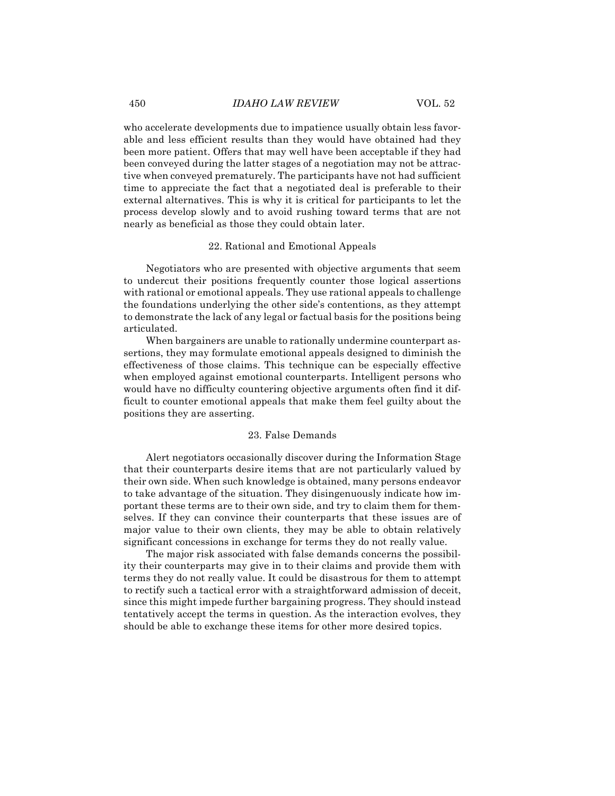who accelerate developments due to impatience usually obtain less favorable and less efficient results than they would have obtained had they been more patient. Offers that may well have been acceptable if they had been conveyed during the latter stages of a negotiation may not be attractive when conveyed prematurely. The participants have not had sufficient time to appreciate the fact that a negotiated deal is preferable to their external alternatives. This is why it is critical for participants to let the process develop slowly and to avoid rushing toward terms that are not nearly as beneficial as those they could obtain later.

#### 22. Rational and Emotional Appeals

Negotiators who are presented with objective arguments that seem to undercut their positions frequently counter those logical assertions with rational or emotional appeals. They use rational appeals to challenge the foundations underlying the other side's contentions, as they attempt to demonstrate the lack of any legal or factual basis for the positions being articulated.

When bargainers are unable to rationally undermine counterpart assertions, they may formulate emotional appeals designed to diminish the effectiveness of those claims. This technique can be especially effective when employed against emotional counterparts. Intelligent persons who would have no difficulty countering objective arguments often find it difficult to counter emotional appeals that make them feel guilty about the positions they are asserting.

## 23. False Demands

Alert negotiators occasionally discover during the Information Stage that their counterparts desire items that are not particularly valued by their own side. When such knowledge is obtained, many persons endeavor to take advantage of the situation. They disingenuously indicate how important these terms are to their own side, and try to claim them for themselves. If they can convince their counterparts that these issues are of major value to their own clients, they may be able to obtain relatively significant concessions in exchange for terms they do not really value.

The major risk associated with false demands concerns the possibility their counterparts may give in to their claims and provide them with terms they do not really value. It could be disastrous for them to attempt to rectify such a tactical error with a straightforward admission of deceit, since this might impede further bargaining progress. They should instead tentatively accept the terms in question. As the interaction evolves, they should be able to exchange these items for other more desired topics.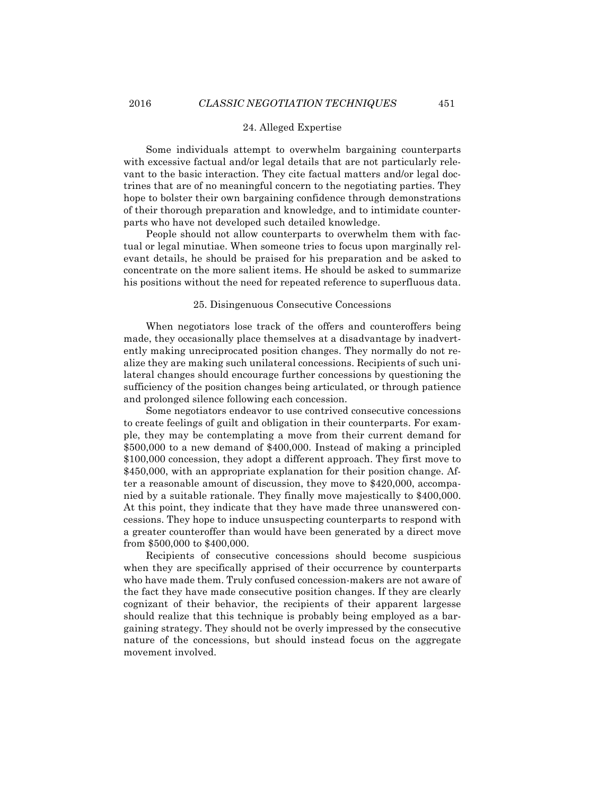## 24. Alleged Expertise

Some individuals attempt to overwhelm bargaining counterparts with excessive factual and/or legal details that are not particularly relevant to the basic interaction. They cite factual matters and/or legal doctrines that are of no meaningful concern to the negotiating parties. They hope to bolster their own bargaining confidence through demonstrations of their thorough preparation and knowledge, and to intimidate counterparts who have not developed such detailed knowledge.

People should not allow counterparts to overwhelm them with factual or legal minutiae. When someone tries to focus upon marginally relevant details, he should be praised for his preparation and be asked to concentrate on the more salient items. He should be asked to summarize his positions without the need for repeated reference to superfluous data.

#### 25. Disingenuous Consecutive Concessions

When negotiators lose track of the offers and counteroffers being made, they occasionally place themselves at a disadvantage by inadvertently making unreciprocated position changes. They normally do not realize they are making such unilateral concessions. Recipients of such unilateral changes should encourage further concessions by questioning the sufficiency of the position changes being articulated, or through patience and prolonged silence following each concession.

Some negotiators endeavor to use contrived consecutive concessions to create feelings of guilt and obligation in their counterparts. For example, they may be contemplating a move from their current demand for \$500,000 to a new demand of \$400,000. Instead of making a principled \$100,000 concession, they adopt a different approach. They first move to \$450,000, with an appropriate explanation for their position change. After a reasonable amount of discussion, they move to \$420,000, accompanied by a suitable rationale. They finally move majestically to \$400,000. At this point, they indicate that they have made three unanswered concessions. They hope to induce unsuspecting counterparts to respond with a greater counteroffer than would have been generated by a direct move from \$500,000 to \$400,000.

Recipients of consecutive concessions should become suspicious when they are specifically apprised of their occurrence by counterparts who have made them. Truly confused concession-makers are not aware of the fact they have made consecutive position changes. If they are clearly cognizant of their behavior, the recipients of their apparent largesse should realize that this technique is probably being employed as a bargaining strategy. They should not be overly impressed by the consecutive nature of the concessions, but should instead focus on the aggregate movement involved.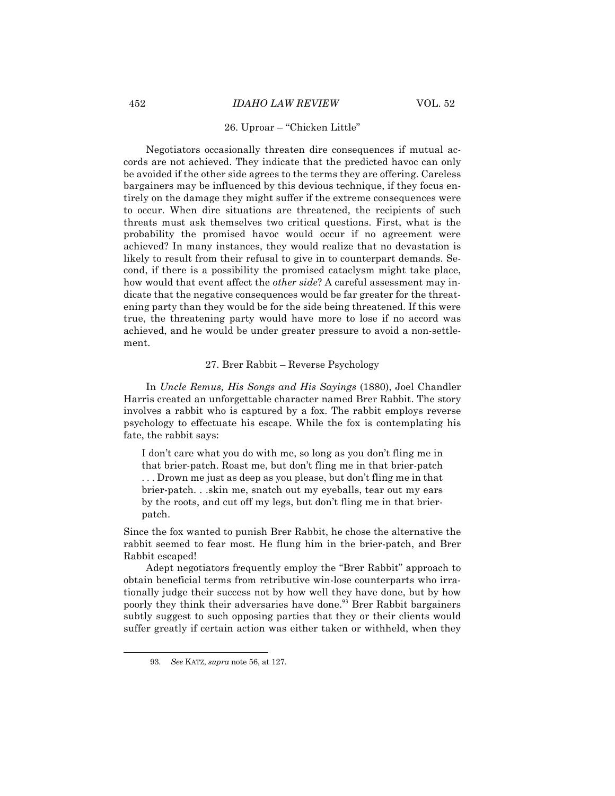## 26. Uproar – "Chicken Little"

Negotiators occasionally threaten dire consequences if mutual accords are not achieved. They indicate that the predicted havoc can only be avoided if the other side agrees to the terms they are offering. Careless bargainers may be influenced by this devious technique, if they focus entirely on the damage they might suffer if the extreme consequences were to occur. When dire situations are threatened, the recipients of such threats must ask themselves two critical questions. First, what is the probability the promised havoc would occur if no agreement were achieved? In many instances, they would realize that no devastation is likely to result from their refusal to give in to counterpart demands. Second, if there is a possibility the promised cataclysm might take place, how would that event affect the *other side*? A careful assessment may indicate that the negative consequences would be far greater for the threatening party than they would be for the side being threatened. If this were true, the threatening party would have more to lose if no accord was achieved, and he would be under greater pressure to avoid a non-settlement.

## 27. Brer Rabbit – Reverse Psychology

In *Uncle Remus, His Songs and His Sayings* (1880), Joel Chandler Harris created an unforgettable character named Brer Rabbit. The story involves a rabbit who is captured by a fox. The rabbit employs reverse psychology to effectuate his escape. While the fox is contemplating his fate, the rabbit says:

I don't care what you do with me, so long as you don't fling me in that brier-patch. Roast me, but don't fling me in that brier-patch . . . Drown me just as deep as you please, but don't fling me in that brier-patch. . .skin me, snatch out my eyeballs, tear out my ears by the roots, and cut off my legs, but don't fling me in that brierpatch.

Since the fox wanted to punish Brer Rabbit, he chose the alternative the rabbit seemed to fear most. He flung him in the brier-patch, and Brer Rabbit escaped!

Adept negotiators frequently employ the "Brer Rabbit" approach to obtain beneficial terms from retributive win-lose counterparts who irrationally judge their success not by how well they have done, but by how poorly they think their adversaries have done.<sup>93</sup> Brer Rabbit bargainers subtly suggest to such opposing parties that they or their clients would suffer greatly if certain action was either taken or withheld, when they

<sup>93.</sup> *See* KATZ, *supra* note 56, at 127.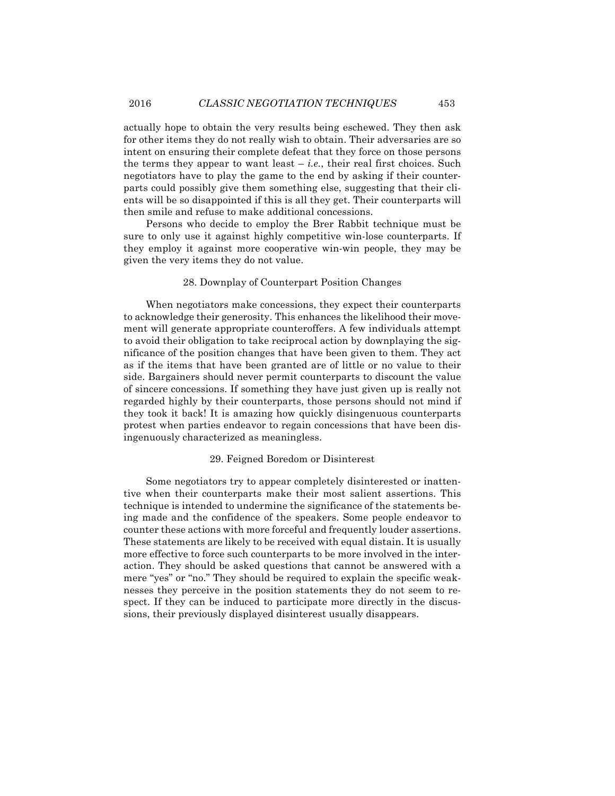actually hope to obtain the very results being eschewed. They then ask for other items they do not really wish to obtain. Their adversaries are so intent on ensuring their complete defeat that they force on those persons the terms they appear to want least  $-i.e.,$  their real first choices. Such negotiators have to play the game to the end by asking if their counterparts could possibly give them something else, suggesting that their clients will be so disappointed if this is all they get. Their counterparts will then smile and refuse to make additional concessions.

Persons who decide to employ the Brer Rabbit technique must be sure to only use it against highly competitive win-lose counterparts. If they employ it against more cooperative win-win people, they may be given the very items they do not value.

## 28. Downplay of Counterpart Position Changes

When negotiators make concessions, they expect their counterparts to acknowledge their generosity. This enhances the likelihood their movement will generate appropriate counteroffers. A few individuals attempt to avoid their obligation to take reciprocal action by downplaying the significance of the position changes that have been given to them. They act as if the items that have been granted are of little or no value to their side. Bargainers should never permit counterparts to discount the value of sincere concessions. If something they have just given up is really not regarded highly by their counterparts, those persons should not mind if they took it back! It is amazing how quickly disingenuous counterparts protest when parties endeavor to regain concessions that have been disingenuously characterized as meaningless.

#### 29. Feigned Boredom or Disinterest

Some negotiators try to appear completely disinterested or inattentive when their counterparts make their most salient assertions. This technique is intended to undermine the significance of the statements being made and the confidence of the speakers. Some people endeavor to counter these actions with more forceful and frequently louder assertions. These statements are likely to be received with equal distain. It is usually more effective to force such counterparts to be more involved in the interaction. They should be asked questions that cannot be answered with a mere "yes" or "no." They should be required to explain the specific weaknesses they perceive in the position statements they do not seem to respect. If they can be induced to participate more directly in the discussions, their previously displayed disinterest usually disappears.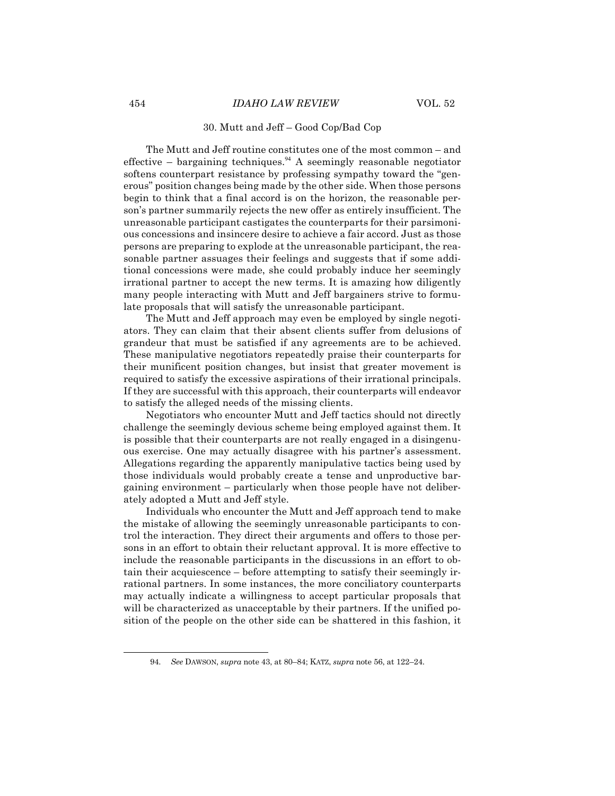## 30. Mutt and Jeff – Good Cop/Bad Cop

The Mutt and Jeff routine constitutes one of the most common – and effective – bargaining techniques.<sup>94</sup> A seemingly reasonable negotiator softens counterpart resistance by professing sympathy toward the "generous" position changes being made by the other side. When those persons begin to think that a final accord is on the horizon, the reasonable person's partner summarily rejects the new offer as entirely insufficient. The unreasonable participant castigates the counterparts for their parsimonious concessions and insincere desire to achieve a fair accord. Just as those persons are preparing to explode at the unreasonable participant, the reasonable partner assuages their feelings and suggests that if some additional concessions were made, she could probably induce her seemingly irrational partner to accept the new terms. It is amazing how diligently many people interacting with Mutt and Jeff bargainers strive to formulate proposals that will satisfy the unreasonable participant.

The Mutt and Jeff approach may even be employed by single negotiators. They can claim that their absent clients suffer from delusions of grandeur that must be satisfied if any agreements are to be achieved. These manipulative negotiators repeatedly praise their counterparts for their munificent position changes, but insist that greater movement is required to satisfy the excessive aspirations of their irrational principals. If they are successful with this approach, their counterparts will endeavor to satisfy the alleged needs of the missing clients.

Negotiators who encounter Mutt and Jeff tactics should not directly challenge the seemingly devious scheme being employed against them. It is possible that their counterparts are not really engaged in a disingenuous exercise. One may actually disagree with his partner's assessment. Allegations regarding the apparently manipulative tactics being used by those individuals would probably create a tense and unproductive bargaining environment – particularly when those people have not deliberately adopted a Mutt and Jeff style.

Individuals who encounter the Mutt and Jeff approach tend to make the mistake of allowing the seemingly unreasonable participants to control the interaction. They direct their arguments and offers to those persons in an effort to obtain their reluctant approval. It is more effective to include the reasonable participants in the discussions in an effort to obtain their acquiescence – before attempting to satisfy their seemingly irrational partners. In some instances, the more conciliatory counterparts may actually indicate a willingness to accept particular proposals that will be characterized as unacceptable by their partners. If the unified position of the people on the other side can be shattered in this fashion, it

<sup>94.</sup> *See* DAWSON, *supra* note 43, at 80–84; KATZ, *supra* note 56, at 122–24.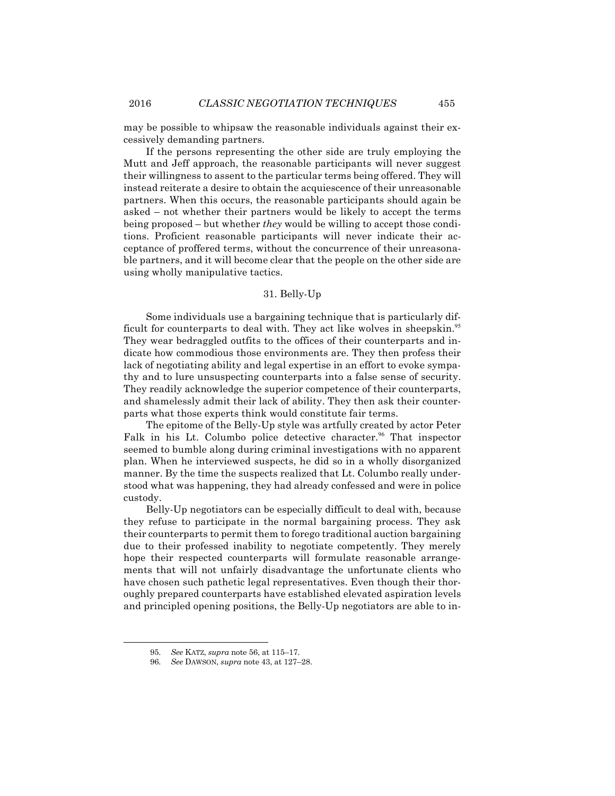may be possible to whipsaw the reasonable individuals against their excessively demanding partners.

If the persons representing the other side are truly employing the Mutt and Jeff approach, the reasonable participants will never suggest their willingness to assent to the particular terms being offered. They will instead reiterate a desire to obtain the acquiescence of their unreasonable partners. When this occurs, the reasonable participants should again be asked – not whether their partners would be likely to accept the terms being proposed – but whether *they* would be willing to accept those conditions. Proficient reasonable participants will never indicate their acceptance of proffered terms, without the concurrence of their unreasonable partners, and it will become clear that the people on the other side are using wholly manipulative tactics.

#### 31. Belly-Up

Some individuals use a bargaining technique that is particularly difficult for counterparts to deal with. They act like wolves in sheepskin.<sup>95</sup> They wear bedraggled outfits to the offices of their counterparts and indicate how commodious those environments are. They then profess their lack of negotiating ability and legal expertise in an effort to evoke sympathy and to lure unsuspecting counterparts into a false sense of security. They readily acknowledge the superior competence of their counterparts, and shamelessly admit their lack of ability. They then ask their counterparts what those experts think would constitute fair terms.

The epitome of the Belly-Up style was artfully created by actor Peter Falk in his Lt. Columbo police detective character.<sup>96</sup> That inspector seemed to bumble along during criminal investigations with no apparent plan. When he interviewed suspects, he did so in a wholly disorganized manner. By the time the suspects realized that Lt. Columbo really understood what was happening, they had already confessed and were in police custody.

Belly-Up negotiators can be especially difficult to deal with, because they refuse to participate in the normal bargaining process. They ask their counterparts to permit them to forego traditional auction bargaining due to their professed inability to negotiate competently. They merely hope their respected counterparts will formulate reasonable arrangements that will not unfairly disadvantage the unfortunate clients who have chosen such pathetic legal representatives. Even though their thoroughly prepared counterparts have established elevated aspiration levels and principled opening positions, the Belly-Up negotiators are able to in-

<sup>95.</sup> *See* KATZ, *supra* note 56, at 115–17.

<sup>96.</sup> *See* DAWSON, *supra* note 43, at 127–28.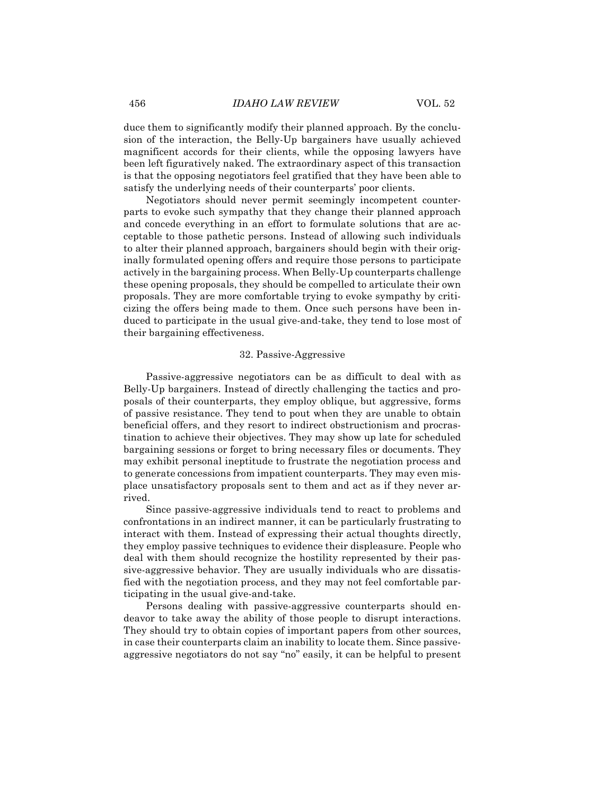duce them to significantly modify their planned approach. By the conclusion of the interaction, the Belly-Up bargainers have usually achieved magnificent accords for their clients, while the opposing lawyers have been left figuratively naked. The extraordinary aspect of this transaction is that the opposing negotiators feel gratified that they have been able to satisfy the underlying needs of their counterparts' poor clients.

Negotiators should never permit seemingly incompetent counterparts to evoke such sympathy that they change their planned approach and concede everything in an effort to formulate solutions that are acceptable to those pathetic persons. Instead of allowing such individuals to alter their planned approach, bargainers should begin with their originally formulated opening offers and require those persons to participate actively in the bargaining process. When Belly-Up counterparts challenge these opening proposals, they should be compelled to articulate their own proposals. They are more comfortable trying to evoke sympathy by criticizing the offers being made to them. Once such persons have been induced to participate in the usual give-and-take, they tend to lose most of their bargaining effectiveness.

#### 32. Passive-Aggressive

Passive-aggressive negotiators can be as difficult to deal with as Belly-Up bargainers. Instead of directly challenging the tactics and proposals of their counterparts, they employ oblique, but aggressive, forms of passive resistance. They tend to pout when they are unable to obtain beneficial offers, and they resort to indirect obstructionism and procrastination to achieve their objectives. They may show up late for scheduled bargaining sessions or forget to bring necessary files or documents. They may exhibit personal ineptitude to frustrate the negotiation process and to generate concessions from impatient counterparts. They may even misplace unsatisfactory proposals sent to them and act as if they never arrived.

Since passive-aggressive individuals tend to react to problems and confrontations in an indirect manner, it can be particularly frustrating to interact with them. Instead of expressing their actual thoughts directly, they employ passive techniques to evidence their displeasure. People who deal with them should recognize the hostility represented by their passive-aggressive behavior. They are usually individuals who are dissatisfied with the negotiation process, and they may not feel comfortable participating in the usual give-and-take.

Persons dealing with passive-aggressive counterparts should endeavor to take away the ability of those people to disrupt interactions. They should try to obtain copies of important papers from other sources, in case their counterparts claim an inability to locate them. Since passiveaggressive negotiators do not say "no" easily, it can be helpful to present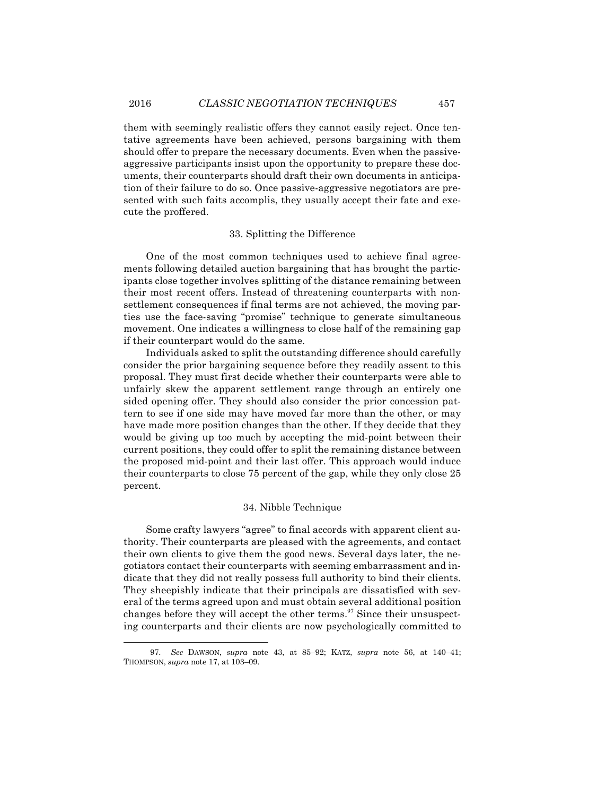them with seemingly realistic offers they cannot easily reject. Once tentative agreements have been achieved, persons bargaining with them should offer to prepare the necessary documents. Even when the passiveaggressive participants insist upon the opportunity to prepare these documents, their counterparts should draft their own documents in anticipation of their failure to do so. Once passive-aggressive negotiators are presented with such faits accomplis, they usually accept their fate and execute the proffered.

#### 33. Splitting the Difference

One of the most common techniques used to achieve final agreements following detailed auction bargaining that has brought the participants close together involves splitting of the distance remaining between their most recent offers. Instead of threatening counterparts with nonsettlement consequences if final terms are not achieved, the moving parties use the face-saving "promise" technique to generate simultaneous movement. One indicates a willingness to close half of the remaining gap if their counterpart would do the same.

Individuals asked to split the outstanding difference should carefully consider the prior bargaining sequence before they readily assent to this proposal. They must first decide whether their counterparts were able to unfairly skew the apparent settlement range through an entirely one sided opening offer. They should also consider the prior concession pattern to see if one side may have moved far more than the other, or may have made more position changes than the other. If they decide that they would be giving up too much by accepting the mid-point between their current positions, they could offer to split the remaining distance between the proposed mid-point and their last offer. This approach would induce their counterparts to close 75 percent of the gap, while they only close 25 percent.

## 34. Nibble Technique

Some crafty lawyers "agree" to final accords with apparent client authority. Their counterparts are pleased with the agreements, and contact their own clients to give them the good news. Several days later, the negotiators contact their counterparts with seeming embarrassment and indicate that they did not really possess full authority to bind their clients. They sheepishly indicate that their principals are dissatisfied with several of the terms agreed upon and must obtain several additional position changes before they will accept the other terms.<sup>97</sup> Since their unsuspecting counterparts and their clients are now psychologically committed to

<sup>97.</sup> *See* DAWSON, *supra* note 43, at 85–92; KATZ, *supra* note 56, at 140–41; THOMPSON, *supra* note 17, at 103–09.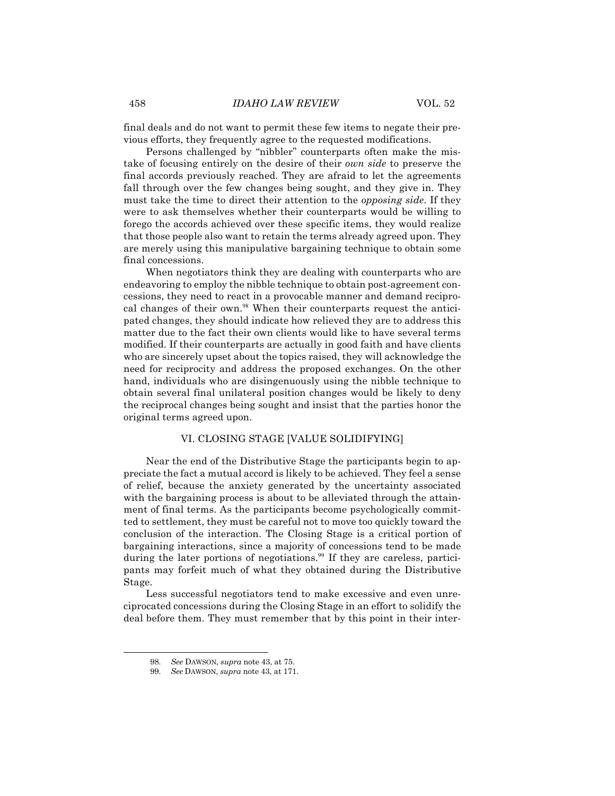final deals and do not want to permit these few items to negate their previous efforts, they frequently agree to the requested modifications.

Persons challenged by "nibbler" counterparts often make the mistake of focusing entirely on the desire of their *own side* to preserve the final accords previously reached. They are afraid to let the agreements fall through over the few changes being sought, and they give in. They must take the time to direct their attention to the *opposing side*. If they were to ask themselves whether their counterparts would be willing to forego the accords achieved over these specific items, they would realize that those people also want to retain the terms already agreed upon. They are merely using this manipulative bargaining technique to obtain some final concessions.

When negotiators think they are dealing with counterparts who are endeavoring to employ the nibble technique to obtain post-agreement concessions, they need to react in a provocable manner and demand reciprocal changes of their own.<sup>98</sup> When their counterparts request the anticipated changes, they should indicate how relieved they are to address this matter due to the fact their own clients would like to have several terms modified. If their counterparts are actually in good faith and have clients who are sincerely upset about the topics raised, they will acknowledge the need for reciprocity and address the proposed exchanges. On the other hand, individuals who are disingenuously using the nibble technique to obtain several final unilateral position changes would be likely to deny the reciprocal changes being sought and insist that the parties honor the original terms agreed upon.

## VI. CLOSING STAGE [VALUE SOLIDIFYING]

Near the end of the Distributive Stage the participants begin to appreciate the fact a mutual accord is likely to be achieved. They feel a sense of relief, because the anxiety generated by the uncertainty associated with the bargaining process is about to be alleviated through the attainment of final terms. As the participants become psychologically committed to settlement, they must be careful not to move too quickly toward the conclusion of the interaction. The Closing Stage is a critical portion of bargaining interactions, since a majority of concessions tend to be made during the later portions of negotiations.<sup>99</sup> If they are careless, participants may forfeit much of what they obtained during the Distributive Stage.

Less successful negotiators tend to make excessive and even unreciprocated concessions during the Closing Stage in an effort to solidify the deal before them. They must remember that by this point in their inter-

<sup>98.</sup> *See* DAWSON, *supra* note 43, at 75.

<sup>99.</sup> *See* DAWSON, *supra* note 43, at 171.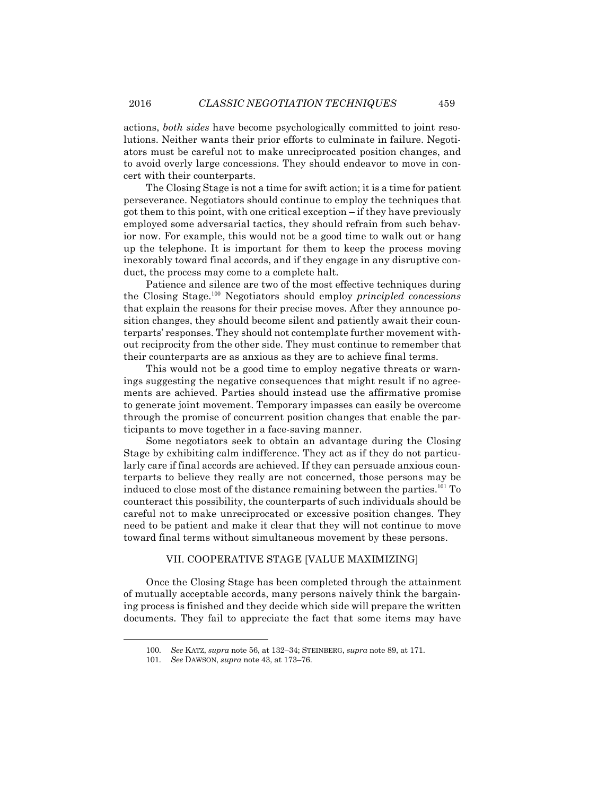actions, *both sides* have become psychologically committed to joint resolutions. Neither wants their prior efforts to culminate in failure. Negotiators must be careful not to make unreciprocated position changes, and to avoid overly large concessions. They should endeavor to move in concert with their counterparts.

The Closing Stage is not a time for swift action; it is a time for patient perseverance. Negotiators should continue to employ the techniques that got them to this point, with one critical exception – if they have previously employed some adversarial tactics, they should refrain from such behavior now. For example, this would not be a good time to walk out or hang up the telephone. It is important for them to keep the process moving inexorably toward final accords, and if they engage in any disruptive conduct, the process may come to a complete halt.

Patience and silence are two of the most effective techniques during the Closing Stage.<sup>100</sup> Negotiators should employ *principled concessions* that explain the reasons for their precise moves. After they announce position changes, they should become silent and patiently await their counterparts' responses. They should not contemplate further movement without reciprocity from the other side. They must continue to remember that their counterparts are as anxious as they are to achieve final terms.

This would not be a good time to employ negative threats or warnings suggesting the negative consequences that might result if no agreements are achieved. Parties should instead use the affirmative promise to generate joint movement. Temporary impasses can easily be overcome through the promise of concurrent position changes that enable the participants to move together in a face-saving manner.

Some negotiators seek to obtain an advantage during the Closing Stage by exhibiting calm indifference. They act as if they do not particularly care if final accords are achieved. If they can persuade anxious counterparts to believe they really are not concerned, those persons may be induced to close most of the distance remaining between the parties.<sup>101</sup> To counteract this possibility, the counterparts of such individuals should be careful not to make unreciprocated or excessive position changes. They need to be patient and make it clear that they will not continue to move toward final terms without simultaneous movement by these persons.

#### VII. COOPERATIVE STAGE [VALUE MAXIMIZING]

Once the Closing Stage has been completed through the attainment of mutually acceptable accords, many persons naively think the bargaining process is finished and they decide which side will prepare the written documents. They fail to appreciate the fact that some items may have

<sup>100.</sup> *See* KATZ, *supra* note 56, at 132–34; STEINBERG, *supra* note 89, at 171.

<sup>101.</sup> *See* DAWSON, *supra* note 43, at 173–76.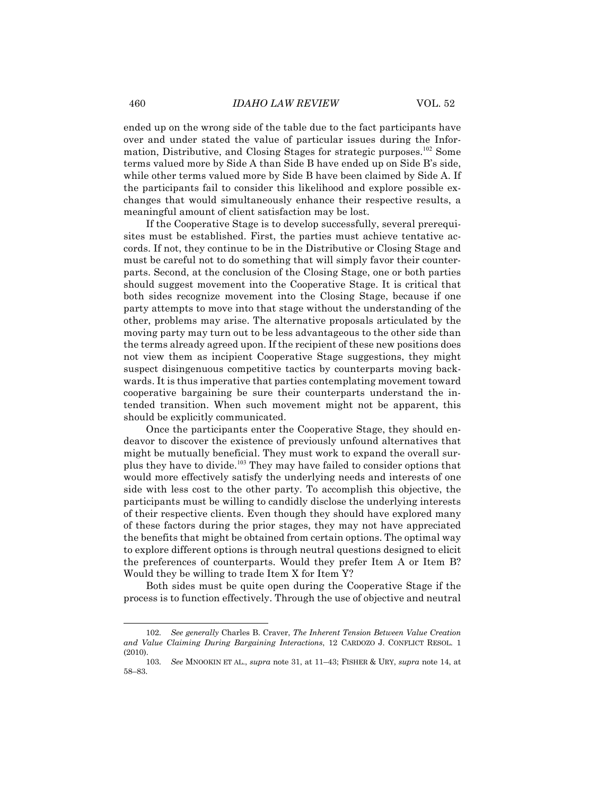ended up on the wrong side of the table due to the fact participants have over and under stated the value of particular issues during the Information, Distributive, and Closing Stages for strategic purposes.<sup>102</sup> Some terms valued more by Side A than Side B have ended up on Side B's side, while other terms valued more by Side B have been claimed by Side A. If the participants fail to consider this likelihood and explore possible exchanges that would simultaneously enhance their respective results, a meaningful amount of client satisfaction may be lost.

If the Cooperative Stage is to develop successfully, several prerequisites must be established. First, the parties must achieve tentative accords. If not, they continue to be in the Distributive or Closing Stage and must be careful not to do something that will simply favor their counterparts. Second, at the conclusion of the Closing Stage, one or both parties should suggest movement into the Cooperative Stage. It is critical that both sides recognize movement into the Closing Stage, because if one party attempts to move into that stage without the understanding of the other, problems may arise. The alternative proposals articulated by the moving party may turn out to be less advantageous to the other side than the terms already agreed upon. If the recipient of these new positions does not view them as incipient Cooperative Stage suggestions, they might suspect disingenuous competitive tactics by counterparts moving backwards. It is thus imperative that parties contemplating movement toward cooperative bargaining be sure their counterparts understand the intended transition. When such movement might not be apparent, this should be explicitly communicated.

Once the participants enter the Cooperative Stage, they should endeavor to discover the existence of previously unfound alternatives that might be mutually beneficial. They must work to expand the overall surplus they have to divide.<sup>103</sup> They may have failed to consider options that would more effectively satisfy the underlying needs and interests of one side with less cost to the other party. To accomplish this objective, the participants must be willing to candidly disclose the underlying interests of their respective clients. Even though they should have explored many of these factors during the prior stages, they may not have appreciated the benefits that might be obtained from certain options. The optimal way to explore different options is through neutral questions designed to elicit the preferences of counterparts. Would they prefer Item A or Item B? Would they be willing to trade Item X for Item Y?

Both sides must be quite open during the Cooperative Stage if the process is to function effectively. Through the use of objective and neutral

<sup>102.</sup> *See generally* Charles B. Craver, *The Inherent Tension Between Value Creation and Value Claiming During Bargaining Interactions*, 12 CARDOZO J. CONFLICT RESOL. 1 (2010).

<sup>103.</sup> *See* MNOOKIN ET AL., *supra* note 31, at 11–43; FISHER & URY, *supra* note 14, at 58–83.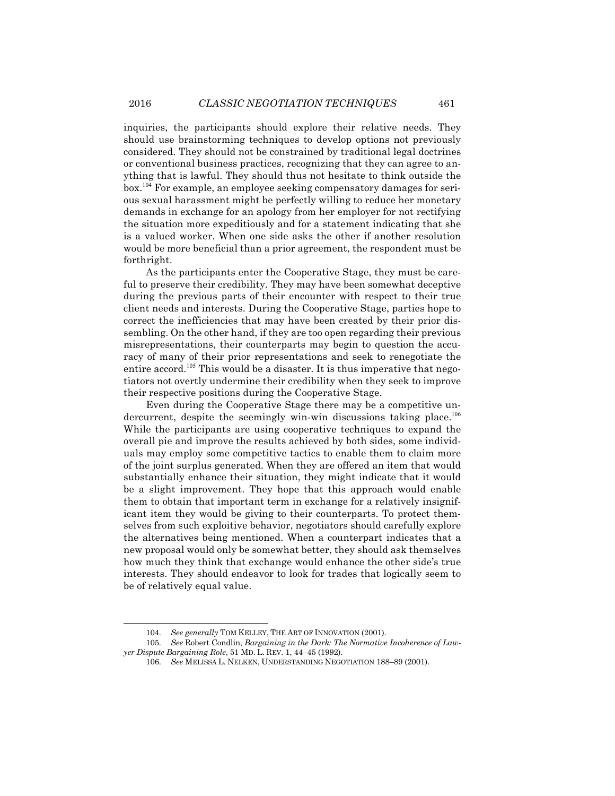inquiries, the participants should explore their relative needs. They should use brainstorming techniques to develop options not previously considered. They should not be constrained by traditional legal doctrines or conventional business practices, recognizing that they can agree to anything that is lawful. They should thus not hesitate to think outside the box.<sup>104</sup> For example, an employee seeking compensatory damages for serious sexual harassment might be perfectly willing to reduce her monetary demands in exchange for an apology from her employer for not rectifying the situation more expeditiously and for a statement indicating that she is a valued worker. When one side asks the other if another resolution would be more beneficial than a prior agreement, the respondent must be forthright.

As the participants enter the Cooperative Stage, they must be careful to preserve their credibility. They may have been somewhat deceptive during the previous parts of their encounter with respect to their true client needs and interests. During the Cooperative Stage, parties hope to correct the inefficiencies that may have been created by their prior dissembling. On the other hand, if they are too open regarding their previous misrepresentations, their counterparts may begin to question the accuracy of many of their prior representations and seek to renegotiate the entire accord.<sup>105</sup> This would be a disaster. It is thus imperative that negotiators not overtly undermine their credibility when they seek to improve their respective positions during the Cooperative Stage.

Even during the Cooperative Stage there may be a competitive undercurrent, despite the seemingly win-win discussions taking place.<sup>106</sup> While the participants are using cooperative techniques to expand the overall pie and improve the results achieved by both sides, some individuals may employ some competitive tactics to enable them to claim more of the joint surplus generated. When they are offered an item that would substantially enhance their situation, they might indicate that it would be a slight improvement. They hope that this approach would enable them to obtain that important term in exchange for a relatively insignificant item they would be giving to their counterparts. To protect themselves from such exploitive behavior, negotiators should carefully explore the alternatives being mentioned. When a counterpart indicates that a new proposal would only be somewhat better, they should ask themselves how much they think that exchange would enhance the other side's true interests. They should endeavor to look for trades that logically seem to be of relatively equal value.

<sup>104.</sup> *See generally* TOM KELLEY, THE ART OF INNOVATION (2001).

<sup>105.</sup> *See* Robert Condlin, *Bargaining in the Dark: The Normative Incoherence of Lawyer Dispute Bargaining Role*, 51 MD. L. REV. 1, 44–45 (1992).

<sup>106.</sup> *See* MELISSA L. NELKEN, UNDERSTANDING NEGOTIATION 188–89 (2001).